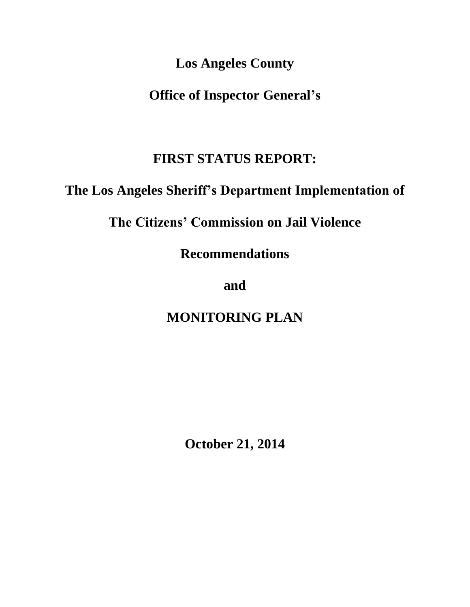**Los Angeles County** 

**Office of Inspector General's**

# **FIRST STATUS REPORT:**

# **The Los Angeles Sheriff's Department Implementation of**

# **The Citizens' Commission on Jail Violence**

**Recommendations**

# **and**

# **MONITORING PLAN**

**October 21, 2014**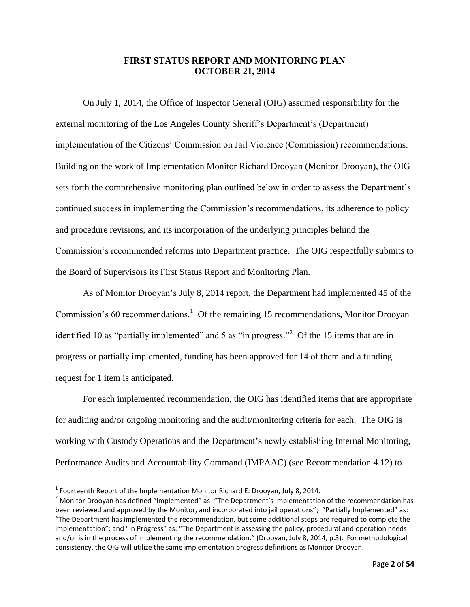#### **FIRST STATUS REPORT AND MONITORING PLAN OCTOBER 21, 2014**

On July 1, 2014, the Office of Inspector General (OIG) assumed responsibility for the external monitoring of the Los Angeles County Sheriff's Department's (Department) implementation of the Citizens' Commission on Jail Violence (Commission) recommendations. Building on the work of Implementation Monitor Richard Drooyan (Monitor Drooyan), the OIG sets forth the comprehensive monitoring plan outlined below in order to assess the Department's continued success in implementing the Commission's recommendations, its adherence to policy and procedure revisions, and its incorporation of the underlying principles behind the Commission's recommended reforms into Department practice. The OIG respectfully submits to the Board of Supervisors its First Status Report and Monitoring Plan.

As of Monitor Drooyan's July 8, 2014 report, the Department had implemented 45 of the Commission's 60 recommendations.<sup>1</sup> Of the remaining 15 recommendations, Monitor Drooyan identified 10 as "partially implemented" and 5 as "in progress."<sup>2</sup> Of the 15 items that are in progress or partially implemented, funding has been approved for 14 of them and a funding request for 1 item is anticipated.

For each implemented recommendation, the OIG has identified items that are appropriate for auditing and/or ongoing monitoring and the audit/monitoring criteria for each. The OIG is working with Custody Operations and the Department's newly establishing Internal Monitoring, Performance Audits and Accountability Command (IMPAAC) (see Recommendation 4.12) to

 1 Fourteenth Report of the Implementation Monitor Richard E. Drooyan, July 8, 2014.

 $2$  Monitor Drooyan has defined "Implemented" as: "The Department's implementation of the recommendation has been reviewed and approved by the Monitor, and incorporated into jail operations"; "Partially Implemented" as: "The Department has implemented the recommendation, but some additional steps are required to complete the implementation"; and "In Progress" as: "The Department is assessing the policy, procedural and operation needs and/or is in the process of implementing the recommendation." (Drooyan, July 8, 2014, p.3). For methodological consistency, the OIG will utilize the same implementation progress definitions as Monitor Drooyan.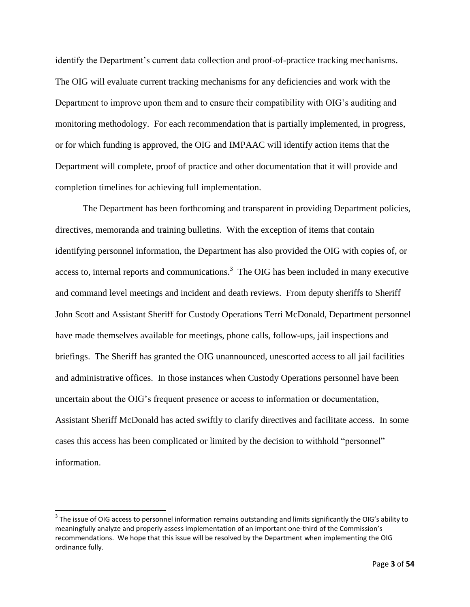identify the Department's current data collection and proof-of-practice tracking mechanisms. The OIG will evaluate current tracking mechanisms for any deficiencies and work with the Department to improve upon them and to ensure their compatibility with OIG's auditing and monitoring methodology. For each recommendation that is partially implemented, in progress, or for which funding is approved, the OIG and IMPAAC will identify action items that the Department will complete, proof of practice and other documentation that it will provide and completion timelines for achieving full implementation.

The Department has been forthcoming and transparent in providing Department policies, directives, memoranda and training bulletins. With the exception of items that contain identifying personnel information, the Department has also provided the OIG with copies of, or access to, internal reports and communications.<sup>3</sup> The OIG has been included in many executive and command level meetings and incident and death reviews. From deputy sheriffs to Sheriff John Scott and Assistant Sheriff for Custody Operations Terri McDonald, Department personnel have made themselves available for meetings, phone calls, follow-ups, jail inspections and briefings. The Sheriff has granted the OIG unannounced, unescorted access to all jail facilities and administrative offices. In those instances when Custody Operations personnel have been uncertain about the OIG's frequent presence or access to information or documentation, Assistant Sheriff McDonald has acted swiftly to clarify directives and facilitate access. In some cases this access has been complicated or limited by the decision to withhold "personnel" information.

 $\overline{a}$ 

 $^3$  The issue of OIG access to personnel information remains outstanding and limits significantly the OIG's ability to meaningfully analyze and properly assess implementation of an important one-third of the Commission's recommendations. We hope that this issue will be resolved by the Department when implementing the OIG ordinance fully.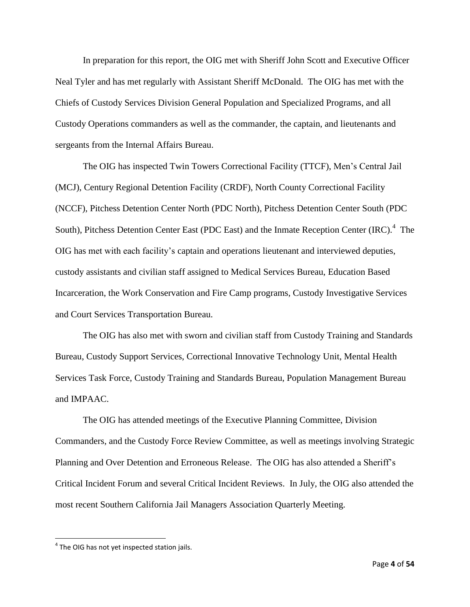In preparation for this report, the OIG met with Sheriff John Scott and Executive Officer Neal Tyler and has met regularly with Assistant Sheriff McDonald. The OIG has met with the Chiefs of Custody Services Division General Population and Specialized Programs, and all Custody Operations commanders as well as the commander, the captain, and lieutenants and sergeants from the Internal Affairs Bureau.

The OIG has inspected Twin Towers Correctional Facility (TTCF), Men's Central Jail (MCJ), Century Regional Detention Facility (CRDF), North County Correctional Facility (NCCF), Pitchess Detention Center North (PDC North), Pitchess Detention Center South (PDC South), Pitchess Detention Center East (PDC East) and the Inmate Reception Center (IRC).<sup>4</sup> The OIG has met with each facility's captain and operations lieutenant and interviewed deputies, custody assistants and civilian staff assigned to Medical Services Bureau, Education Based Incarceration, the Work Conservation and Fire Camp programs, Custody Investigative Services and Court Services Transportation Bureau.

The OIG has also met with sworn and civilian staff from Custody Training and Standards Bureau, Custody Support Services, Correctional Innovative Technology Unit, Mental Health Services Task Force, Custody Training and Standards Bureau, Population Management Bureau and IMPAAC.

The OIG has attended meetings of the Executive Planning Committee, Division Commanders, and the Custody Force Review Committee, as well as meetings involving Strategic Planning and Over Detention and Erroneous Release. The OIG has also attended a Sheriff's Critical Incident Forum and several Critical Incident Reviews. In July, the OIG also attended the most recent Southern California Jail Managers Association Quarterly Meeting.

 $\overline{\phantom{a}}$ 

 $<sup>4</sup>$  The OIG has not yet inspected station jails.</sup>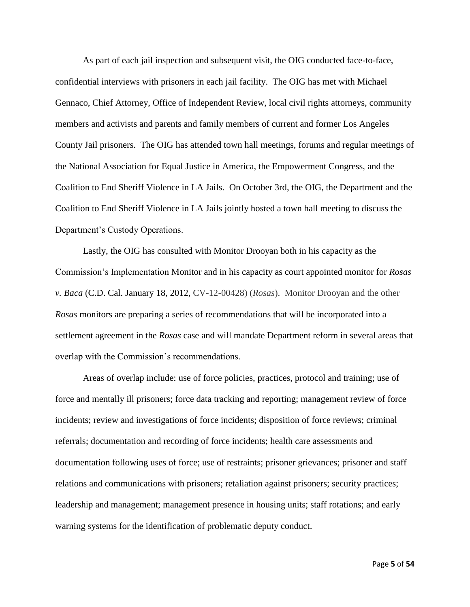As part of each jail inspection and subsequent visit, the OIG conducted face-to-face, confidential interviews with prisoners in each jail facility. The OIG has met with Michael Gennaco, Chief Attorney, Office of Independent Review, local civil rights attorneys, community members and activists and parents and family members of current and former Los Angeles County Jail prisoners. The OIG has attended town hall meetings, forums and regular meetings of the National Association for Equal Justice in America, the Empowerment Congress, and the Coalition to End Sheriff Violence in LA Jails. On October 3rd, the OIG, the Department and the Coalition to End Sheriff Violence in LA Jails jointly hosted a town hall meeting to discuss the Department's Custody Operations.

Lastly, the OIG has consulted with Monitor Drooyan both in his capacity as the Commission's Implementation Monitor and in his capacity as court appointed monitor for *Rosas v. Baca* (C.D. Cal. January 18, 2012, CV-12-00428) (*Rosas*). Monitor Drooyan and the other *Rosas* monitors are preparing a series of recommendations that will be incorporated into a settlement agreement in the *Rosas* case and will mandate Department reform in several areas that overlap with the Commission's recommendations.

Areas of overlap include: use of force policies, practices, protocol and training; use of force and mentally ill prisoners; force data tracking and reporting; management review of force incidents; review and investigations of force incidents; disposition of force reviews; criminal referrals; documentation and recording of force incidents; health care assessments and documentation following uses of force; use of restraints; prisoner grievances; prisoner and staff relations and communications with prisoners; retaliation against prisoners; security practices; leadership and management; management presence in housing units; staff rotations; and early warning systems for the identification of problematic deputy conduct.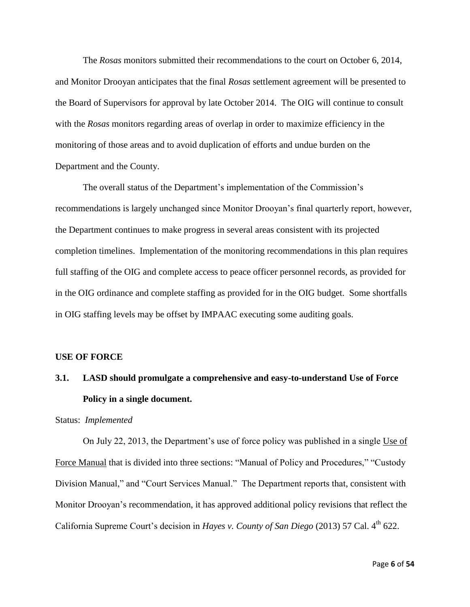The *Rosas* monitors submitted their recommendations to the court on October 6, 2014, and Monitor Drooyan anticipates that the final *Rosas* settlement agreement will be presented to the Board of Supervisors for approval by late October 2014. The OIG will continue to consult with the *Rosas* monitors regarding areas of overlap in order to maximize efficiency in the monitoring of those areas and to avoid duplication of efforts and undue burden on the Department and the County.

The overall status of the Department's implementation of the Commission's recommendations is largely unchanged since Monitor Drooyan's final quarterly report, however, the Department continues to make progress in several areas consistent with its projected completion timelines. Implementation of the monitoring recommendations in this plan requires full staffing of the OIG and complete access to peace officer personnel records, as provided for in the OIG ordinance and complete staffing as provided for in the OIG budget. Some shortfalls in OIG staffing levels may be offset by IMPAAC executing some auditing goals.

#### **USE OF FORCE**

# **3.1. LASD should promulgate a comprehensive and easy-to-understand Use of Force Policy in a single document.**

Status: *Implemented*

On July 22, 2013, the Department's use of force policy was published in a single Use of Force Manual that is divided into three sections: "Manual of Policy and Procedures," "Custody Division Manual," and "Court Services Manual." The Department reports that, consistent with Monitor Drooyan's recommendation, it has approved additional policy revisions that reflect the California Supreme Court's decision in *Hayes v. County of San Diego* (2013) 57 Cal. 4<sup>th</sup> 622.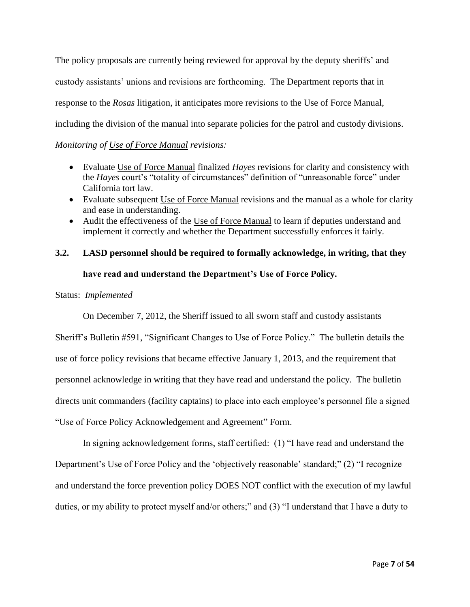The policy proposals are currently being reviewed for approval by the deputy sheriffs' and custody assistants' unions and revisions are forthcoming. The Department reports that in response to the *Rosas* litigation, it anticipates more revisions to the Use of Force Manual, including the division of the manual into separate policies for the patrol and custody divisions.

### *Monitoring of Use of Force Manual revisions:*

- Evaluate Use of Force Manual finalized *Hayes* revisions for clarity and consistency with the *Hayes* court's "totality of circumstances" definition of "unreasonable force" under California tort law.
- Evaluate subsequent Use of Force Manual revisions and the manual as a whole for clarity and ease in understanding.
- Audit the effectiveness of the Use of Force Manual to learn if deputies understand and implement it correctly and whether the Department successfully enforces it fairly.

# **3.2. LASD personnel should be required to formally acknowledge, in writing, that they have read and understand the Department's Use of Force Policy.**

### Status: *Implemented*

On December 7, 2012, the Sheriff issued to all sworn staff and custody assistants Sheriff's Bulletin #591, "Significant Changes to Use of Force Policy." The bulletin details the use of force policy revisions that became effective January 1, 2013, and the requirement that personnel acknowledge in writing that they have read and understand the policy. The bulletin directs unit commanders (facility captains) to place into each employee's personnel file a signed "Use of Force Policy Acknowledgement and Agreement" Form.

In signing acknowledgement forms, staff certified: (1) "I have read and understand the Department's Use of Force Policy and the 'objectively reasonable' standard;" (2) "I recognize and understand the force prevention policy DOES NOT conflict with the execution of my lawful duties, or my ability to protect myself and/or others;" and (3) "I understand that I have a duty to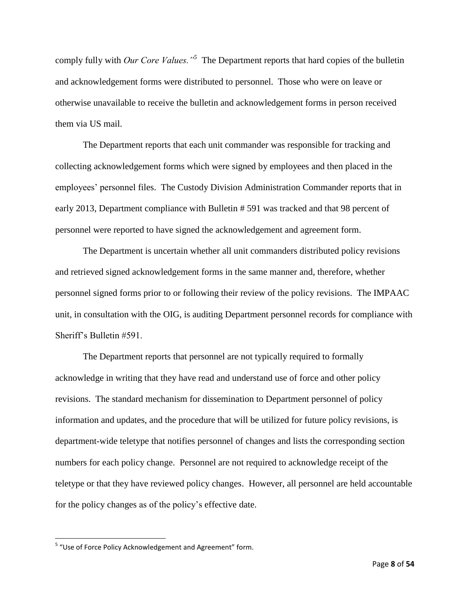comply fully with *Our Core Values."<sup>5</sup>* The Department reports that hard copies of the bulletin and acknowledgement forms were distributed to personnel. Those who were on leave or otherwise unavailable to receive the bulletin and acknowledgement forms in person received them via US mail.

The Department reports that each unit commander was responsible for tracking and collecting acknowledgement forms which were signed by employees and then placed in the employees' personnel files. The Custody Division Administration Commander reports that in early 2013, Department compliance with Bulletin # 591 was tracked and that 98 percent of personnel were reported to have signed the acknowledgement and agreement form.

The Department is uncertain whether all unit commanders distributed policy revisions and retrieved signed acknowledgement forms in the same manner and, therefore, whether personnel signed forms prior to or following their review of the policy revisions. The IMPAAC unit, in consultation with the OIG, is auditing Department personnel records for compliance with Sheriff's Bulletin #591.

The Department reports that personnel are not typically required to formally acknowledge in writing that they have read and understand use of force and other policy revisions. The standard mechanism for dissemination to Department personnel of policy information and updates, and the procedure that will be utilized for future policy revisions, is department-wide teletype that notifies personnel of changes and lists the corresponding section numbers for each policy change. Personnel are not required to acknowledge receipt of the teletype or that they have reviewed policy changes. However, all personnel are held accountable for the policy changes as of the policy's effective date.

 $\overline{\phantom{a}}$ 

<sup>&</sup>lt;sup>5</sup> "Use of Force Policy Acknowledgement and Agreement" form.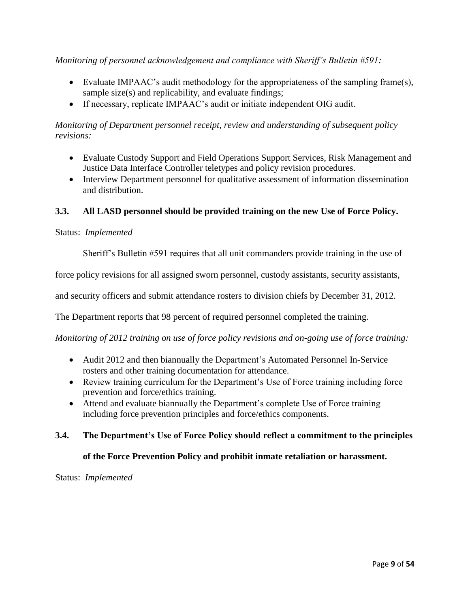*Monitoring of personnel acknowledgement and compliance with Sheriff's Bulletin #591:*

- Evaluate IMPAAC's audit methodology for the appropriateness of the sampling frame(s), sample size(s) and replicability, and evaluate findings;
- If necessary, replicate IMPAAC's audit or initiate independent OIG audit.

### *Monitoring of Department personnel receipt, review and understanding of subsequent policy revisions:*

- Evaluate Custody Support and Field Operations Support Services, Risk Management and Justice Data Interface Controller teletypes and policy revision procedures.
- Interview Department personnel for qualitative assessment of information dissemination and distribution.

### **3.3. All LASD personnel should be provided training on the new Use of Force Policy.**

#### Status: *Implemented*

Sheriff's Bulletin #591 requires that all unit commanders provide training in the use of

force policy revisions for all assigned sworn personnel, custody assistants, security assistants,

and security officers and submit attendance rosters to division chiefs by December 31, 2012.

The Department reports that 98 percent of required personnel completed the training.

*Monitoring of 2012 training on use of force policy revisions and on-going use of force training:*

- Audit 2012 and then biannually the Department's Automated Personnel In-Service rosters and other training documentation for attendance.
- Review training curriculum for the Department's Use of Force training including force prevention and force/ethics training.
- Attend and evaluate biannually the Department's complete Use of Force training including force prevention principles and force/ethics components.

#### **3.4. The Department's Use of Force Policy should reflect a commitment to the principles**

#### **of the Force Prevention Policy and prohibit inmate retaliation or harassment.**

Status: *Implemented*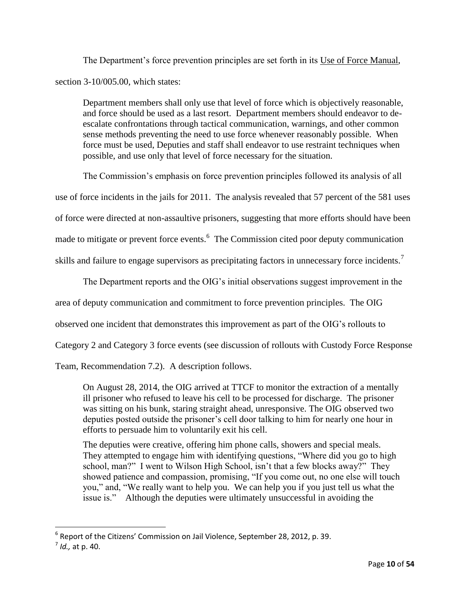The Department's force prevention principles are set forth in its Use of Force Manual, section 3-10/005.00, which states:

Department members shall only use that level of force which is objectively reasonable, and force should be used as a last resort. Department members should endeavor to deescalate confrontations through tactical communication, warnings, and other common sense methods preventing the need to use force whenever reasonably possible. When force must be used, Deputies and staff shall endeavor to use restraint techniques when possible, and use only that level of force necessary for the situation.

The Commission's emphasis on force prevention principles followed its analysis of all use of force incidents in the jails for 2011. The analysis revealed that 57 percent of the 581 uses of force were directed at non-assaultive prisoners, suggesting that more efforts should have been made to mitigate or prevent force events.<sup>6</sup> The Commission cited poor deputy communication skills and failure to engage supervisors as precipitating factors in unnecessary force incidents.<sup>7</sup>

The Department reports and the OIG's initial observations suggest improvement in the

area of deputy communication and commitment to force prevention principles. The OIG

observed one incident that demonstrates this improvement as part of the OIG's rollouts to

Category 2 and Category 3 force events (see discussion of rollouts with Custody Force Response

Team, Recommendation 7.2). A description follows.

On August 28, 2014, the OIG arrived at TTCF to monitor the extraction of a mentally ill prisoner who refused to leave his cell to be processed for discharge. The prisoner was sitting on his bunk, staring straight ahead, unresponsive. The OIG observed two deputies posted outside the prisoner's cell door talking to him for nearly one hour in efforts to persuade him to voluntarily exit his cell.

The deputies were creative, offering him phone calls, showers and special meals. They attempted to engage him with identifying questions, "Where did you go to high school, man?" I went to Wilson High School, isn't that a few blocks away?" They showed patience and compassion, promising, "If you come out, no one else will touch you," and, "We really want to help you. We can help you if you just tell us what the issue is." Although the deputies were ultimately unsuccessful in avoiding the

 $\overline{\phantom{a}}$ 

 $^6$  Report of the Citizens' Commission on Jail Violence, September 28, 2012, p. 39.

<sup>7</sup> *Id.,* at p. 40.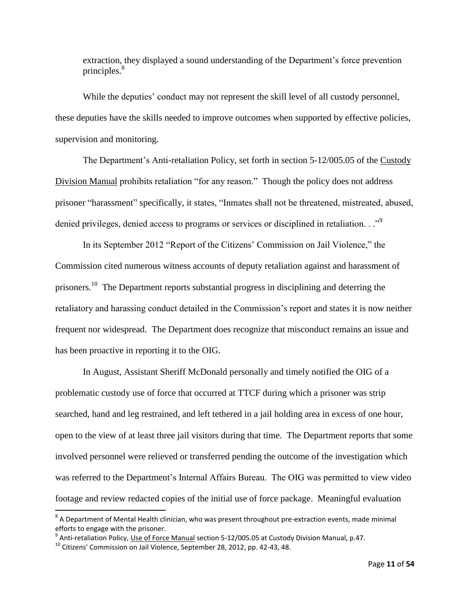extraction, they displayed a sound understanding of the Department's force prevention principles.<sup>8</sup>

While the deputies' conduct may not represent the skill level of all custody personnel, these deputies have the skills needed to improve outcomes when supported by effective policies, supervision and monitoring.

The Department's Anti-retaliation Policy, set forth in section 5-12/005.05 of the Custody Division Manual prohibits retaliation "for any reason." Though the policy does not address prisoner "harassment" specifically, it states, "Inmates shall not be threatened, mistreated, abused, denied privileges, denied access to programs or services or disciplined in retaliation. . ."<sup>9</sup>

In its September 2012 "Report of the Citizens' Commission on Jail Violence," the Commission cited numerous witness accounts of deputy retaliation against and harassment of prisoners.<sup>10</sup> The Department reports substantial progress in disciplining and deterring the retaliatory and harassing conduct detailed in the Commission's report and states it is now neither frequent nor widespread. The Department does recognize that misconduct remains an issue and has been proactive in reporting it to the OIG.

In August, Assistant Sheriff McDonald personally and timely notified the OIG of a problematic custody use of force that occurred at TTCF during which a prisoner was strip searched, hand and leg restrained, and left tethered in a jail holding area in excess of one hour, open to the view of at least three jail visitors during that time. The Department reports that some involved personnel were relieved or transferred pending the outcome of the investigation which was referred to the Department's Internal Affairs Bureau. The OIG was permitted to view video footage and review redacted copies of the initial use of force package. Meaningful evaluation

 $\overline{a}$ 

 $^8$  A Department of Mental Health clinician, who was present throughout pre-extraction events, made minimal efforts to engage with the prisoner.

<sup>&</sup>lt;sup>9</sup> Anti-retaliation Policy, <u>Use of Force Manual</u> section 5-12/005.05 at Custody Division Manual, p.47.

 $^{10}$  Citizens' Commission on Jail Violence, September 28, 2012, pp. 42-43, 48.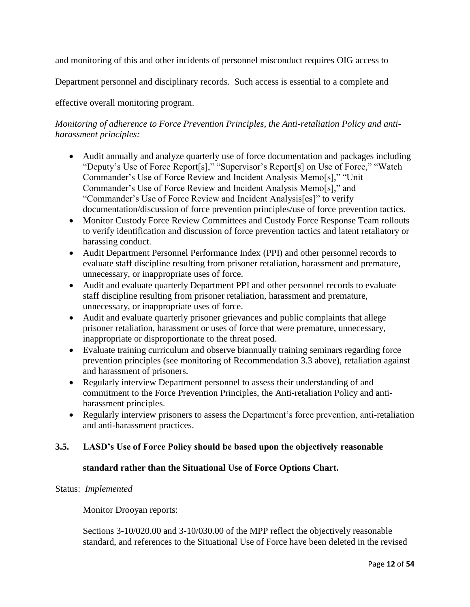and monitoring of this and other incidents of personnel misconduct requires OIG access to

Department personnel and disciplinary records. Such access is essential to a complete and

effective overall monitoring program.

# *Monitoring of adherence to Force Prevention Principles, the Anti-retaliation Policy and antiharassment principles:*

- Audit annually and analyze quarterly use of force documentation and packages including "Deputy's Use of Force Report[s]," "Supervisor's Report[s] on Use of Force," "Watch Commander's Use of Force Review and Incident Analysis Memo[s]," "Unit Commander's Use of Force Review and Incident Analysis Memo[s]," and "Commander's Use of Force Review and Incident Analysis[es]" to verify documentation/discussion of force prevention principles/use of force prevention tactics.
- Monitor Custody Force Review Committees and Custody Force Response Team rollouts to verify identification and discussion of force prevention tactics and latent retaliatory or harassing conduct.
- Audit Department Personnel Performance Index (PPI) and other personnel records to evaluate staff discipline resulting from prisoner retaliation, harassment and premature, unnecessary, or inappropriate uses of force.
- Audit and evaluate quarterly Department PPI and other personnel records to evaluate staff discipline resulting from prisoner retaliation, harassment and premature, unnecessary, or inappropriate uses of force.
- Audit and evaluate quarterly prisoner grievances and public complaints that allege prisoner retaliation, harassment or uses of force that were premature, unnecessary, inappropriate or disproportionate to the threat posed.
- Evaluate training curriculum and observe biannually training seminars regarding force prevention principles (see monitoring of Recommendation 3.3 above), retaliation against and harassment of prisoners.
- Regularly interview Department personnel to assess their understanding of and commitment to the Force Prevention Principles, the Anti-retaliation Policy and antiharassment principles.
- Regularly interview prisoners to assess the Department's force prevention, anti-retaliation and anti-harassment practices.

# **3.5. LASD's Use of Force Policy should be based upon the objectively reasonable**

# **standard rather than the Situational Use of Force Options Chart.**

#### Status: *Implemented*

Monitor Drooyan reports:

Sections 3-10/020.00 and 3-10/030.00 of the MPP reflect the objectively reasonable standard, and references to the Situational Use of Force have been deleted in the revised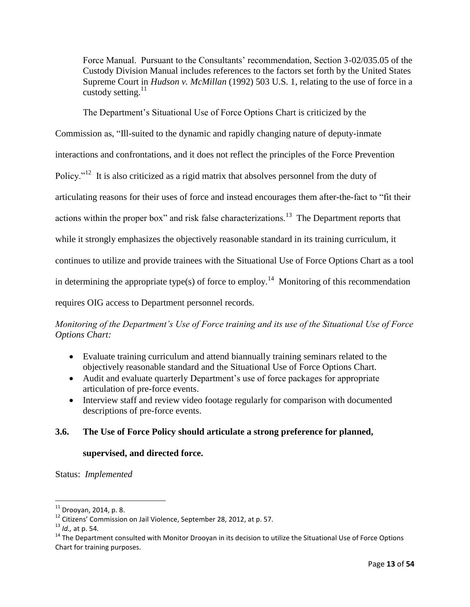Force Manual. Pursuant to the Consultants' recommendation, Section 3-02/035.05 of the Custody Division Manual includes references to the factors set forth by the United States Supreme Court in *Hudson v. McMillan* (1992) 503 U.S. 1, relating to the use of force in a custody setting. $^{11}$ 

The Department's Situational Use of Force Options Chart is criticized by the

Commission as, "Ill-suited to the dynamic and rapidly changing nature of deputy-inmate

interactions and confrontations, and it does not reflect the principles of the Force Prevention

Policy."<sup>12</sup> It is also criticized as a rigid matrix that absolves personnel from the duty of

articulating reasons for their uses of force and instead encourages them after-the-fact to "fit their

actions within the proper box" and risk false characterizations.<sup>13</sup> The Department reports that

while it strongly emphasizes the objectively reasonable standard in its training curriculum, it

continues to utilize and provide trainees with the Situational Use of Force Options Chart as a tool

in determining the appropriate type(s) of force to employ.<sup>14</sup> Monitoring of this recommendation

requires OIG access to Department personnel records.

*Monitoring of the Department's Use of Force training and its use of the Situational Use of Force Options Chart:* 

- Evaluate training curriculum and attend biannually training seminars related to the objectively reasonable standard and the Situational Use of Force Options Chart.
- Audit and evaluate quarterly Department's use of force packages for appropriate articulation of pre-force events.
- Interview staff and review video footage regularly for comparison with documented descriptions of pre-force events.

# **3.6. The Use of Force Policy should articulate a strong preference for planned,**

#### **supervised, and directed force.**

Status: *Implemented*

 $11$  Drooyan, 2014, p. 8.

<sup>12</sup> Citizens' Commission on Jail Violence, September 28, 2012, at p. 57.

<sup>13</sup> *Id.,* at p. 54*.*

 $14$  The Department consulted with Monitor Drooyan in its decision to utilize the Situational Use of Force Options Chart for training purposes.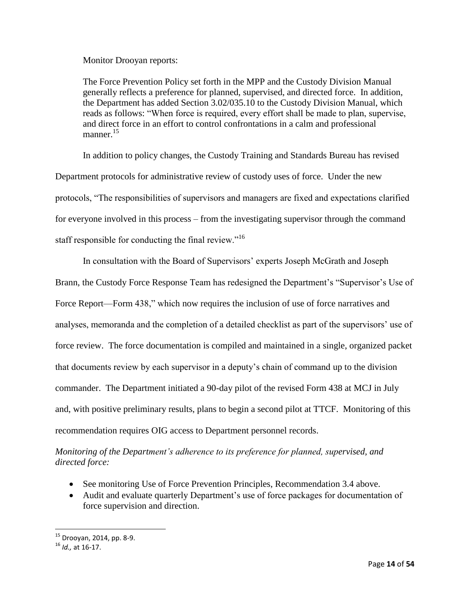Monitor Drooyan reports:

The Force Prevention Policy set forth in the MPP and the Custody Division Manual generally reflects a preference for planned, supervised, and directed force. In addition, the Department has added Section 3.02/035.10 to the Custody Division Manual, which reads as follows: "When force is required, every effort shall be made to plan, supervise, and direct force in an effort to control confrontations in a calm and professional manner.<sup>15</sup>

In addition to policy changes, the Custody Training and Standards Bureau has revised Department protocols for administrative review of custody uses of force. Under the new protocols, "The responsibilities of supervisors and managers are fixed and expectations clarified for everyone involved in this process – from the investigating supervisor through the command staff responsible for conducting the final review."<sup>16</sup>

In consultation with the Board of Supervisors' experts Joseph McGrath and Joseph Brann, the Custody Force Response Team has redesigned the Department's "Supervisor's Use of Force Report—Form 438," which now requires the inclusion of use of force narratives and analyses, memoranda and the completion of a detailed checklist as part of the supervisors' use of force review. The force documentation is compiled and maintained in a single, organized packet that documents review by each supervisor in a deputy's chain of command up to the division commander. The Department initiated a 90-day pilot of the revised Form 438 at MCJ in July and, with positive preliminary results, plans to begin a second pilot at TTCF. Monitoring of this recommendation requires OIG access to Department personnel records.

# *Monitoring of the Department's adherence to its preference for planned, supervised, and directed force:*

- See monitoring Use of Force Prevention Principles, Recommendation 3.4 above.
- Audit and evaluate quarterly Department's use of force packages for documentation of force supervision and direction.

 $15$  Drooyan, 2014, pp. 8-9.

<sup>16</sup> *Id.,* at 16-17.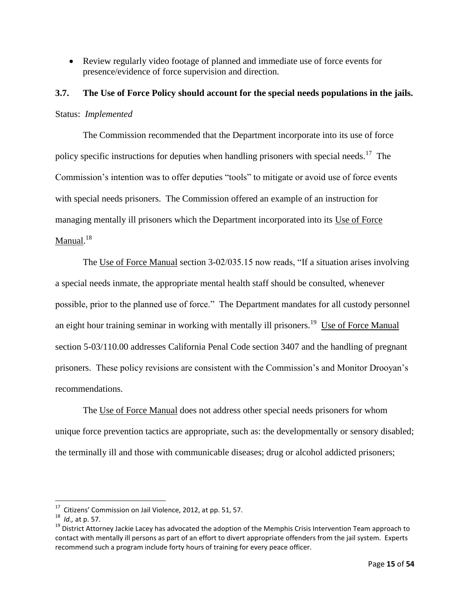Review regularly video footage of planned and immediate use of force events for presence/evidence of force supervision and direction.

# **3.7. The Use of Force Policy should account for the special needs populations in the jails.** Status: *Implemented*

The Commission recommended that the Department incorporate into its use of force policy specific instructions for deputies when handling prisoners with special needs.<sup>17</sup> The Commission's intention was to offer deputies "tools" to mitigate or avoid use of force events with special needs prisoners. The Commission offered an example of an instruction for managing mentally ill prisoners which the Department incorporated into its Use of Force Manual.<sup>18</sup>

The Use of Force Manual section 3-02/035.15 now reads, "If a situation arises involving a special needs inmate, the appropriate mental health staff should be consulted, whenever possible, prior to the planned use of force." The Department mandates for all custody personnel an eight hour training seminar in working with mentally ill prisoners.<sup>19</sup> Use of Force Manual section 5-03/110.00 addresses California Penal Code section 3407 and the handling of pregnant prisoners. These policy revisions are consistent with the Commission's and Monitor Drooyan's recommendations.

The Use of Force Manual does not address other special needs prisoners for whom unique force prevention tactics are appropriate, such as: the developmentally or sensory disabled; the terminally ill and those with communicable diseases; drug or alcohol addicted prisoners;

 $17$  Citizens' Commission on Jail Violence, 2012, at pp. 51, 57.

<sup>18</sup> *Id.,* at p. 57.

<sup>&</sup>lt;sup>19</sup> District Attorney Jackie Lacey has advocated the adoption of the Memphis Crisis Intervention Team approach to contact with mentally ill persons as part of an effort to divert appropriate offenders from the jail system. Experts recommend such a program include forty hours of training for every peace officer.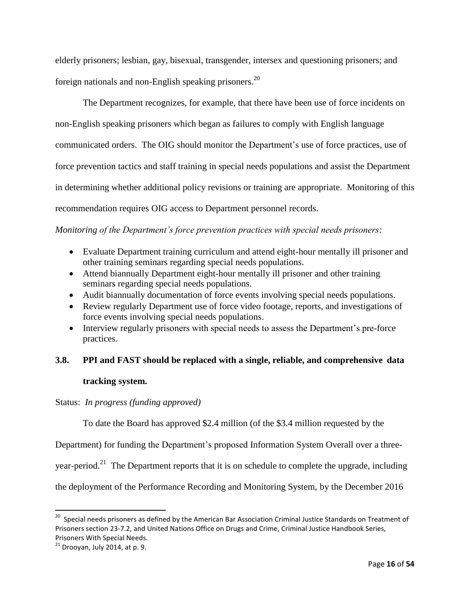elderly prisoners; lesbian, gay, bisexual, transgender, intersex and questioning prisoners; and foreign nationals and non-English speaking prisoners.<sup>20</sup>

The Department recognizes, for example, that there have been use of force incidents on non-English speaking prisoners which began as failures to comply with English language communicated orders. The OIG should monitor the Department's use of force practices, use of force prevention tactics and staff training in special needs populations and assist the Department in determining whether additional policy revisions or training are appropriate. Monitoring of this recommendation requires OIG access to Department personnel records.

### *Monitoring of the Department's force prevention practices with special needs prisoners:*

- Evaluate Department training curriculum and attend eight-hour mentally ill prisoner and other training seminars regarding special needs populations.
- Attend biannually Department eight-hour mentally ill prisoner and other training seminars regarding special needs populations.
- Audit biannually documentation of force events involving special needs populations.
- Review regularly Department use of force video footage, reports, and investigations of force events involving special needs populations.
- Interview regularly prisoners with special needs to assess the Department's pre-force practices.

# **3.8. PPI and FAST should be replaced with a single, reliable, and comprehensive data**

#### **tracking system.**

#### Status: *In progress (funding approved)*

To date the Board has approved \$2.4 million (of the \$3.4 million requested by the

Department) for funding the Department's proposed Information System Overall over a three-

year-period.<sup>21</sup> The Department reports that it is on schedule to complete the upgrade, including

the deployment of the Performance Recording and Monitoring System, by the December 2016

 20 Special needs prisoners as defined by the American Bar Association Criminal Justice Standards on Treatment of Prisoners section 23-7.2, and United Nations Office on Drugs and Crime, Criminal Justice Handbook Series, Prisoners With Special Needs.

 $21$  Drooyan, July 2014, at p. 9.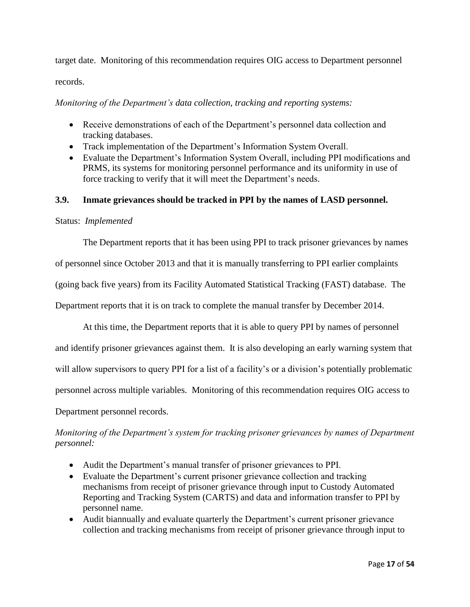target date. Monitoring of this recommendation requires OIG access to Department personnel

records.

*Monitoring of the Department's data collection, tracking and reporting systems:*

- Receive demonstrations of each of the Department's personnel data collection and tracking databases.
- Track implementation of the Department's Information System Overall.
- Evaluate the Department's Information System Overall, including PPI modifications and PRMS, its systems for monitoring personnel performance and its uniformity in use of force tracking to verify that it will meet the Department's needs.

#### **3.9. Inmate grievances should be tracked in PPI by the names of LASD personnel.**

#### Status: *Implemented*

The Department reports that it has been using PPI to track prisoner grievances by names

of personnel since October 2013 and that it is manually transferring to PPI earlier complaints

(going back five years) from its Facility Automated Statistical Tracking (FAST) database. The

Department reports that it is on track to complete the manual transfer by December 2014.

At this time, the Department reports that it is able to query PPI by names of personnel and identify prisoner grievances against them. It is also developing an early warning system that will allow supervisors to query PPI for a list of a facility's or a division's potentially problematic personnel across multiple variables. Monitoring of this recommendation requires OIG access to

Department personnel records.

# *Monitoring of the Department's system for tracking prisoner grievances by names of Department personnel:*

- Audit the Department's manual transfer of prisoner grievances to PPI.
- Evaluate the Department's current prisoner grievance collection and tracking mechanisms from receipt of prisoner grievance through input to Custody Automated Reporting and Tracking System (CARTS) and data and information transfer to PPI by personnel name.
- Audit biannually and evaluate quarterly the Department's current prisoner grievance collection and tracking mechanisms from receipt of prisoner grievance through input to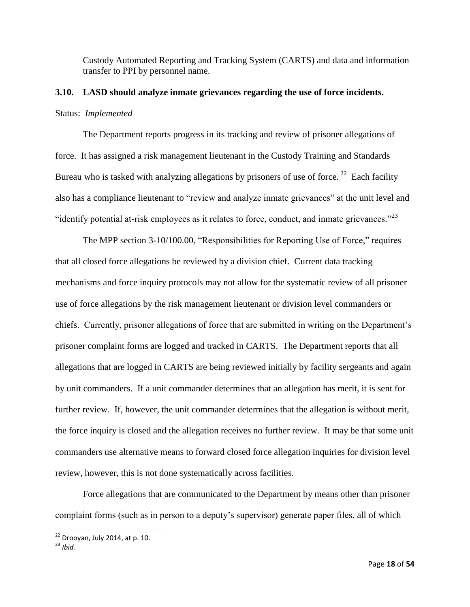Custody Automated Reporting and Tracking System (CARTS) and data and information transfer to PPI by personnel name.

# **3.10. LASD should analyze inmate grievances regarding the use of force incidents.** Status: *Implemented*

The Department reports progress in its tracking and review of prisoner allegations of force. It has assigned a risk management lieutenant in the Custody Training and Standards Bureau who is tasked with analyzing allegations by prisoners of use of force.<sup>22</sup> Each facility also has a compliance lieutenant to "review and analyze inmate grievances" at the unit level and "identify potential at-risk employees as it relates to force, conduct, and inmate grievances." $^{23}$ 

The MPP section 3-10/100.00, "Responsibilities for Reporting Use of Force," requires that all closed force allegations be reviewed by a division chief. Current data tracking mechanisms and force inquiry protocols may not allow for the systematic review of all prisoner use of force allegations by the risk management lieutenant or division level commanders or chiefs. Currently, prisoner allegations of force that are submitted in writing on the Department's prisoner complaint forms are logged and tracked in CARTS. The Department reports that all allegations that are logged in CARTS are being reviewed initially by facility sergeants and again by unit commanders. If a unit commander determines that an allegation has merit, it is sent for further review. If, however, the unit commander determines that the allegation is without merit, the force inquiry is closed and the allegation receives no further review. It may be that some unit commanders use alternative means to forward closed force allegation inquiries for division level review, however, this is not done systematically across facilities.

Force allegations that are communicated to the Department by means other than prisoner complaint forms (such as in person to a deputy's supervisor) generate paper files, all of which

 $22$  Drooyan, July 2014, at p. 10.

<sup>23</sup> *Ibid.*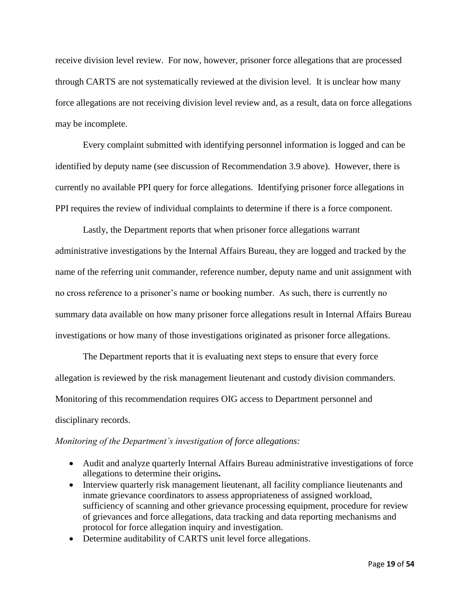receive division level review. For now, however, prisoner force allegations that are processed through CARTS are not systematically reviewed at the division level. It is unclear how many force allegations are not receiving division level review and, as a result, data on force allegations may be incomplete.

Every complaint submitted with identifying personnel information is logged and can be identified by deputy name (see discussion of Recommendation 3.9 above). However, there is currently no available PPI query for force allegations. Identifying prisoner force allegations in PPI requires the review of individual complaints to determine if there is a force component.

Lastly, the Department reports that when prisoner force allegations warrant administrative investigations by the Internal Affairs Bureau, they are logged and tracked by the name of the referring unit commander, reference number, deputy name and unit assignment with no cross reference to a prisoner's name or booking number. As such, there is currently no summary data available on how many prisoner force allegations result in Internal Affairs Bureau investigations or how many of those investigations originated as prisoner force allegations.

The Department reports that it is evaluating next steps to ensure that every force allegation is reviewed by the risk management lieutenant and custody division commanders. Monitoring of this recommendation requires OIG access to Department personnel and disciplinary records.

#### *Monitoring of the Department's investigation of force allegations:*

- Audit and analyze quarterly Internal Affairs Bureau administrative investigations of force allegations to determine their origins**.**
- Interview quarterly risk management lieutenant, all facility compliance lieutenants and inmate grievance coordinators to assess appropriateness of assigned workload, sufficiency of scanning and other grievance processing equipment, procedure for review of grievances and force allegations, data tracking and data reporting mechanisms and protocol for force allegation inquiry and investigation.
- Determine auditability of CARTS unit level force allegations.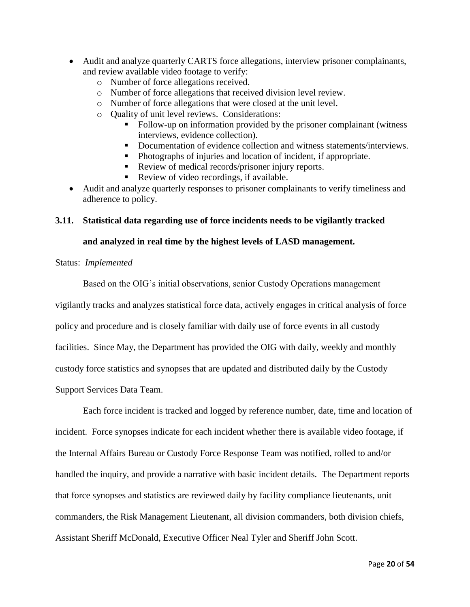- Audit and analyze quarterly CARTS force allegations, interview prisoner complainants, and review available video footage to verify:
	- o Number of force allegations received.
	- o Number of force allegations that received division level review.
	- o Number of force allegations that were closed at the unit level.
	- o Quality of unit level reviews. Considerations:
		- Follow-up on information provided by the prisoner complainant (witness interviews, evidence collection).
		- Documentation of evidence collection and witness statements/interviews.
		- Photographs of injuries and location of incident, if appropriate.
		- Review of medical records/prisoner injury reports.
		- Review of video recordings, if available.
- Audit and analyze quarterly responses to prisoner complainants to verify timeliness and adherence to policy.

#### **3.11. Statistical data regarding use of force incidents needs to be vigilantly tracked**

#### **and analyzed in real time by the highest levels of LASD management.**

#### Status: *Implemented*

Based on the OIG's initial observations, senior Custody Operations management

vigilantly tracks and analyzes statistical force data, actively engages in critical analysis of force

policy and procedure and is closely familiar with daily use of force events in all custody

facilities. Since May, the Department has provided the OIG with daily, weekly and monthly

custody force statistics and synopses that are updated and distributed daily by the Custody

Support Services Data Team.

Each force incident is tracked and logged by reference number, date, time and location of incident. Force synopses indicate for each incident whether there is available video footage, if the Internal Affairs Bureau or Custody Force Response Team was notified, rolled to and/or handled the inquiry, and provide a narrative with basic incident details. The Department reports that force synopses and statistics are reviewed daily by facility compliance lieutenants, unit commanders, the Risk Management Lieutenant, all division commanders, both division chiefs, Assistant Sheriff McDonald, Executive Officer Neal Tyler and Sheriff John Scott.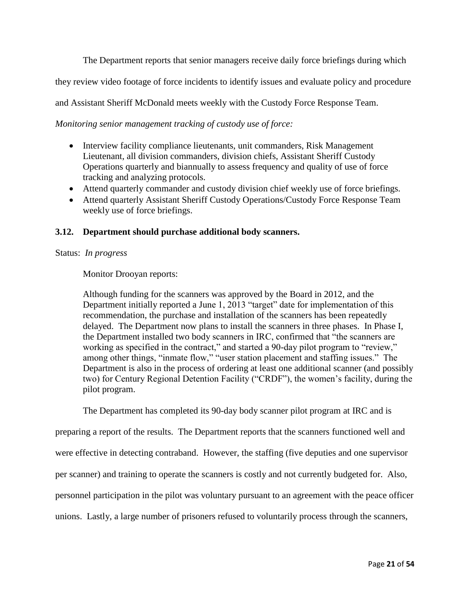The Department reports that senior managers receive daily force briefings during which

they review video footage of force incidents to identify issues and evaluate policy and procedure

and Assistant Sheriff McDonald meets weekly with the Custody Force Response Team.

*Monitoring senior management tracking of custody use of force:*

- Interview facility compliance lieutenants, unit commanders, Risk Management Lieutenant, all division commanders, division chiefs, Assistant Sheriff Custody Operations quarterly and biannually to assess frequency and quality of use of force tracking and analyzing protocols.
- Attend quarterly commander and custody division chief weekly use of force briefings.
- Attend quarterly Assistant Sheriff Custody Operations/Custody Force Response Team weekly use of force briefings.

#### **3.12. Department should purchase additional body scanners.**

#### Status: *In progress*

Monitor Drooyan reports:

Although funding for the scanners was approved by the Board in 2012, and the Department initially reported a June 1, 2013 "target" date for implementation of this recommendation, the purchase and installation of the scanners has been repeatedly delayed. The Department now plans to install the scanners in three phases. In Phase I, the Department installed two body scanners in IRC, confirmed that "the scanners are working as specified in the contract," and started a 90-day pilot program to "review," among other things, "inmate flow," "user station placement and staffing issues." The Department is also in the process of ordering at least one additional scanner (and possibly two) for Century Regional Detention Facility ("CRDF"), the women's facility, during the pilot program.

The Department has completed its 90-day body scanner pilot program at IRC and is

preparing a report of the results. The Department reports that the scanners functioned well and were effective in detecting contraband. However, the staffing (five deputies and one supervisor per scanner) and training to operate the scanners is costly and not currently budgeted for. Also, personnel participation in the pilot was voluntary pursuant to an agreement with the peace officer unions. Lastly, a large number of prisoners refused to voluntarily process through the scanners,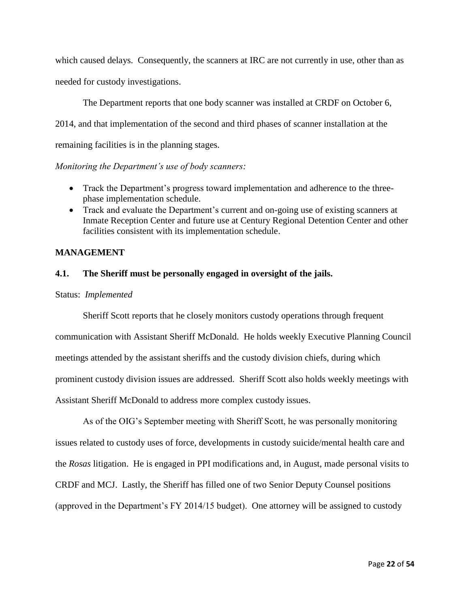which caused delays. Consequently, the scanners at IRC are not currently in use, other than as needed for custody investigations.

The Department reports that one body scanner was installed at CRDF on October 6, 2014, and that implementation of the second and third phases of scanner installation at the remaining facilities is in the planning stages.

*Monitoring the Department's use of body scanners:*

- Track the Department's progress toward implementation and adherence to the threephase implementation schedule.
- Track and evaluate the Department's current and on-going use of existing scanners at Inmate Reception Center and future use at Century Regional Detention Center and other facilities consistent with its implementation schedule.

#### **MANAGEMENT**

#### **4.1. The Sheriff must be personally engaged in oversight of the jails.**

#### Status: *Implemented*

Sheriff Scott reports that he closely monitors custody operations through frequent communication with Assistant Sheriff McDonald. He holds weekly Executive Planning Council meetings attended by the assistant sheriffs and the custody division chiefs, during which prominent custody division issues are addressed. Sheriff Scott also holds weekly meetings with Assistant Sheriff McDonald to address more complex custody issues.

As of the OIG's September meeting with Sheriff Scott, he was personally monitoring issues related to custody uses of force, developments in custody suicide/mental health care and the *Rosas* litigation. He is engaged in PPI modifications and, in August, made personal visits to CRDF and MCJ. Lastly, the Sheriff has filled one of two Senior Deputy Counsel positions (approved in the Department's FY 2014/15 budget). One attorney will be assigned to custody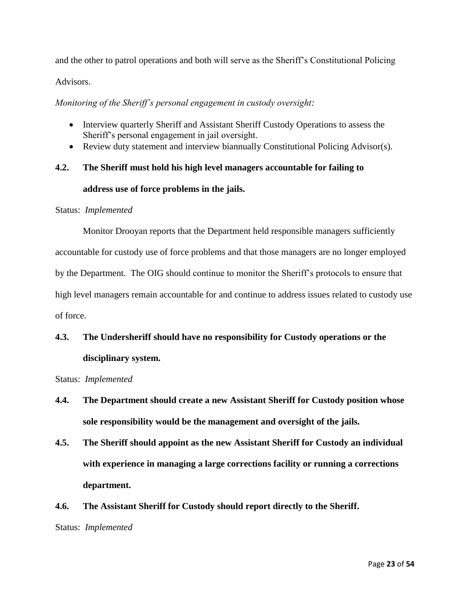and the other to patrol operations and both will serve as the Sheriff's Constitutional Policing Advisors.

*Monitoring of the Sheriff's personal engagement in custody oversight:*

- Interview quarterly Sheriff and Assistant Sheriff Custody Operations to assess the Sheriff's personal engagement in jail oversight.
- Review duty statement and interview biannually Constitutional Policing Advisor(s).

# **4.2. The Sheriff must hold his high level managers accountable for failing to address use of force problems in the jails.**

#### Status: *Implemented*

Monitor Drooyan reports that the Department held responsible managers sufficiently accountable for custody use of force problems and that those managers are no longer employed by the Department. The OIG should continue to monitor the Sheriff's protocols to ensure that high level managers remain accountable for and continue to address issues related to custody use of force.

# **4.3. The Undersheriff should have no responsibility for Custody operations or the disciplinary system.**

Status: *Implemented*

- **4.4. The Department should create a new Assistant Sheriff for Custody position whose sole responsibility would be the management and oversight of the jails.**
- **4.5. The Sheriff should appoint as the new Assistant Sheriff for Custody an individual with experience in managing a large corrections facility or running a corrections department.**
- **4.6. The Assistant Sheriff for Custody should report directly to the Sheriff.**

Status: *Implemented*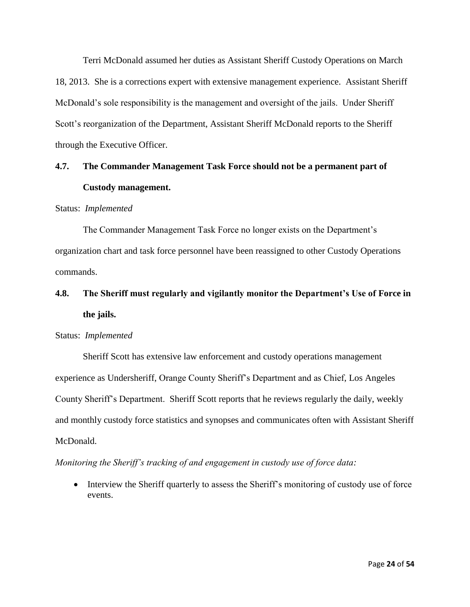Terri McDonald assumed her duties as Assistant Sheriff Custody Operations on March 18, 2013. She is a corrections expert with extensive management experience. Assistant Sheriff McDonald's sole responsibility is the management and oversight of the jails. Under Sheriff Scott's reorganization of the Department, Assistant Sheriff McDonald reports to the Sheriff through the Executive Officer.

# **4.7. The Commander Management Task Force should not be a permanent part of Custody management.**

#### Status: *Implemented*

The Commander Management Task Force no longer exists on the Department's organization chart and task force personnel have been reassigned to other Custody Operations commands.

# **4.8. The Sheriff must regularly and vigilantly monitor the Department's Use of Force in the jails.**

#### Status: *Implemented*

Sheriff Scott has extensive law enforcement and custody operations management experience as Undersheriff, Orange County Sheriff's Department and as Chief, Los Angeles County Sheriff's Department. Sheriff Scott reports that he reviews regularly the daily, weekly and monthly custody force statistics and synopses and communicates often with Assistant Sheriff McDonald.

*Monitoring the Sheriff's tracking of and engagement in custody use of force data:*

• Interview the Sheriff quarterly to assess the Sheriff's monitoring of custody use of force events.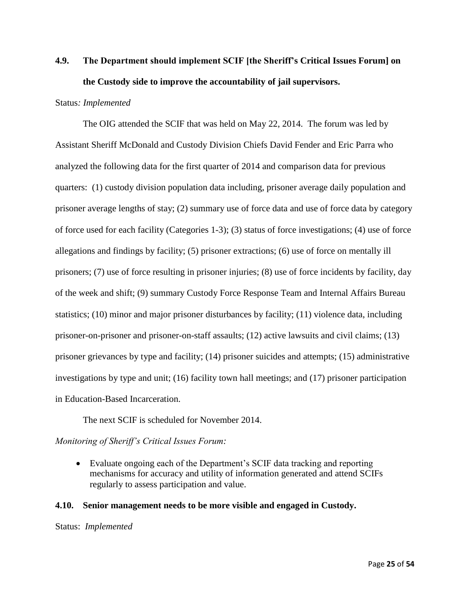# **4.9. The Department should implement SCIF [the Sheriff's Critical Issues Forum] on the Custody side to improve the accountability of jail supervisors.**

#### Status*: Implemented*

The OIG attended the SCIF that was held on May 22, 2014. The forum was led by Assistant Sheriff McDonald and Custody Division Chiefs David Fender and Eric Parra who analyzed the following data for the first quarter of 2014 and comparison data for previous quarters: (1) custody division population data including, prisoner average daily population and prisoner average lengths of stay; (2) summary use of force data and use of force data by category of force used for each facility (Categories 1-3); (3) status of force investigations; (4) use of force allegations and findings by facility; (5) prisoner extractions; (6) use of force on mentally ill prisoners; (7) use of force resulting in prisoner injuries; (8) use of force incidents by facility, day of the week and shift; (9) summary Custody Force Response Team and Internal Affairs Bureau statistics; (10) minor and major prisoner disturbances by facility; (11) violence data, including prisoner-on-prisoner and prisoner-on-staff assaults; (12) active lawsuits and civil claims; (13) prisoner grievances by type and facility; (14) prisoner suicides and attempts; (15) administrative investigations by type and unit; (16) facility town hall meetings; and (17) prisoner participation in Education-Based Incarceration.

The next SCIF is scheduled for November 2014.

#### *Monitoring of Sheriff's Critical Issues Forum:*

 Evaluate ongoing each of the Department's SCIF data tracking and reporting mechanisms for accuracy and utility of information generated and attend SCIFs regularly to assess participation and value.

#### **4.10. Senior management needs to be more visible and engaged in Custody.**

Status: *Implemented*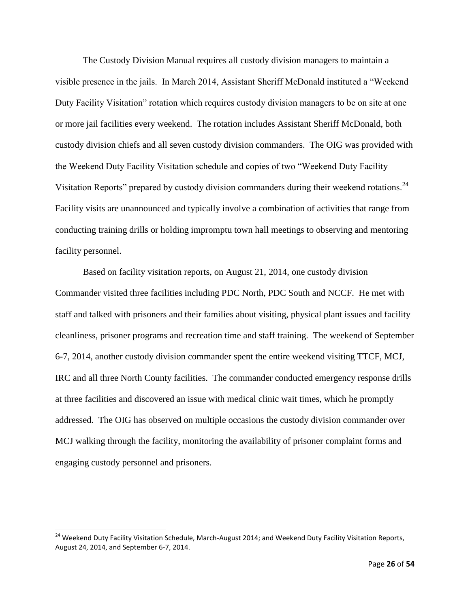The Custody Division Manual requires all custody division managers to maintain a visible presence in the jails. In March 2014, Assistant Sheriff McDonald instituted a "Weekend Duty Facility Visitation" rotation which requires custody division managers to be on site at one or more jail facilities every weekend. The rotation includes Assistant Sheriff McDonald, both custody division chiefs and all seven custody division commanders. The OIG was provided with the Weekend Duty Facility Visitation schedule and copies of two "Weekend Duty Facility Visitation Reports" prepared by custody division commanders during their weekend rotations.<sup>24</sup> Facility visits are unannounced and typically involve a combination of activities that range from conducting training drills or holding impromptu town hall meetings to observing and mentoring facility personnel.

Based on facility visitation reports, on August 21, 2014, one custody division Commander visited three facilities including PDC North, PDC South and NCCF. He met with staff and talked with prisoners and their families about visiting, physical plant issues and facility cleanliness, prisoner programs and recreation time and staff training. The weekend of September 6-7, 2014, another custody division commander spent the entire weekend visiting TTCF, MCJ, IRC and all three North County facilities. The commander conducted emergency response drills at three facilities and discovered an issue with medical clinic wait times, which he promptly addressed. The OIG has observed on multiple occasions the custody division commander over MCJ walking through the facility, monitoring the availability of prisoner complaint forms and engaging custody personnel and prisoners.

<sup>&</sup>lt;sup>24</sup> Weekend Duty Facility Visitation Schedule, March-August 2014; and Weekend Duty Facility Visitation Reports, August 24, 2014, and September 6-7, 2014.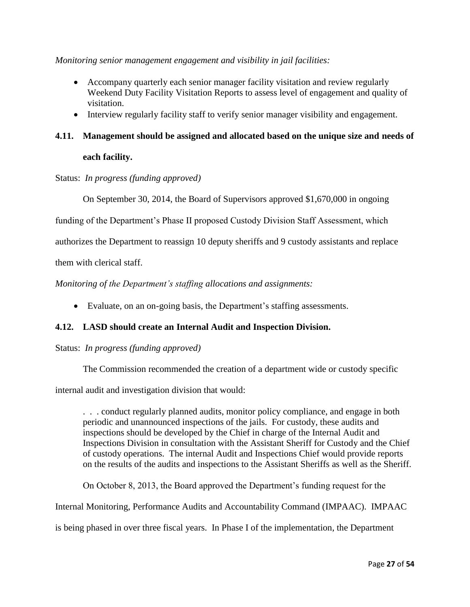*Monitoring senior management engagement and visibility in jail facilities:*

- Accompany quarterly each senior manager facility visitation and review regularly Weekend Duty Facility Visitation Reports to assess level of engagement and quality of visitation.
- Interview regularly facility staff to verify senior manager visibility and engagement.

# **4.11. Management should be assigned and allocated based on the unique size and needs of**

# **each facility.**

Status: *In progress (funding approved)*

On September 30, 2014, the Board of Supervisors approved \$1,670,000 in ongoing

funding of the Department's Phase II proposed Custody Division Staff Assessment, which

authorizes the Department to reassign 10 deputy sheriffs and 9 custody assistants and replace

them with clerical staff.

*Monitoring of the Department's staffing allocations and assignments:*

Evaluate, on an on-going basis, the Department's staffing assessments.

# **4.12. LASD should create an Internal Audit and Inspection Division.**

Status: *In progress (funding approved)*

The Commission recommended the creation of a department wide or custody specific

internal audit and investigation division that would:

. . . conduct regularly planned audits, monitor policy compliance, and engage in both periodic and unannounced inspections of the jails. For custody, these audits and inspections should be developed by the Chief in charge of the Internal Audit and Inspections Division in consultation with the Assistant Sheriff for Custody and the Chief of custody operations. The internal Audit and Inspections Chief would provide reports on the results of the audits and inspections to the Assistant Sheriffs as well as the Sheriff.

On October 8, 2013, the Board approved the Department's funding request for the

Internal Monitoring, Performance Audits and Accountability Command (IMPAAC). IMPAAC

is being phased in over three fiscal years. In Phase I of the implementation, the Department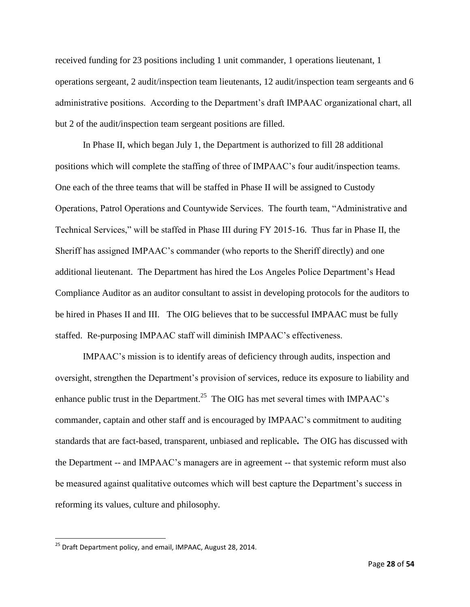received funding for 23 positions including 1 unit commander, 1 operations lieutenant, 1 operations sergeant, 2 audit/inspection team lieutenants, 12 audit/inspection team sergeants and 6 administrative positions. According to the Department's draft IMPAAC organizational chart, all but 2 of the audit/inspection team sergeant positions are filled.

In Phase II, which began July 1, the Department is authorized to fill 28 additional positions which will complete the staffing of three of IMPAAC's four audit/inspection teams. One each of the three teams that will be staffed in Phase II will be assigned to Custody Operations, Patrol Operations and Countywide Services. The fourth team, "Administrative and Technical Services," will be staffed in Phase III during FY 2015-16. Thus far in Phase II, the Sheriff has assigned IMPAAC's commander (who reports to the Sheriff directly) and one additional lieutenant. The Department has hired the Los Angeles Police Department's Head Compliance Auditor as an auditor consultant to assist in developing protocols for the auditors to be hired in Phases II and III. The OIG believes that to be successful IMPAAC must be fully staffed. Re-purposing IMPAAC staff will diminish IMPAAC's effectiveness.

IMPAAC's mission is to identify areas of deficiency through audits, inspection and oversight, strengthen the Department's provision of services, reduce its exposure to liability and enhance public trust in the Department.<sup>25</sup> The OIG has met several times with IMPAAC's commander, captain and other staff and is encouraged by IMPAAC's commitment to auditing standards that are fact-based, transparent, unbiased and replicable**.** The OIG has discussed with the Department -- and IMPAAC's managers are in agreement -- that systemic reform must also be measured against qualitative outcomes which will best capture the Department's success in reforming its values, culture and philosophy.

 $\overline{\phantom{a}}$ 

<sup>&</sup>lt;sup>25</sup> Draft Department policy, and email, IMPAAC, August 28, 2014.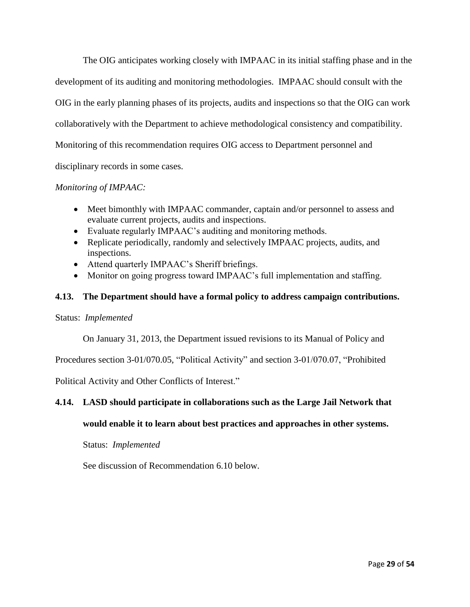The OIG anticipates working closely with IMPAAC in its initial staffing phase and in the development of its auditing and monitoring methodologies. IMPAAC should consult with the OIG in the early planning phases of its projects, audits and inspections so that the OIG can work collaboratively with the Department to achieve methodological consistency and compatibility. Monitoring of this recommendation requires OIG access to Department personnel and disciplinary records in some cases.

### *Monitoring of IMPAAC:*

- Meet bimonthly with IMPAAC commander, captain and/or personnel to assess and evaluate current projects, audits and inspections.
- Evaluate regularly IMPAAC's auditing and monitoring methods.
- Replicate periodically, randomly and selectively IMPAAC projects, audits, and inspections.
- Attend quarterly IMPAAC's Sheriff briefings.
- Monitor on going progress toward IMPAAC's full implementation and staffing.

### **4.13. The Department should have a formal policy to address campaign contributions.**

#### Status: *Implemented*

On January 31, 2013, the Department issued revisions to its Manual of Policy and

Procedures section 3-01/070.05, "Political Activity" and section 3-01/070.07, "Prohibited

Political Activity and Other Conflicts of Interest."

# **4.14. LASD should participate in collaborations such as the Large Jail Network that**

# **would enable it to learn about best practices and approaches in other systems.**

#### Status: *Implemented*

See discussion of Recommendation 6.10 below.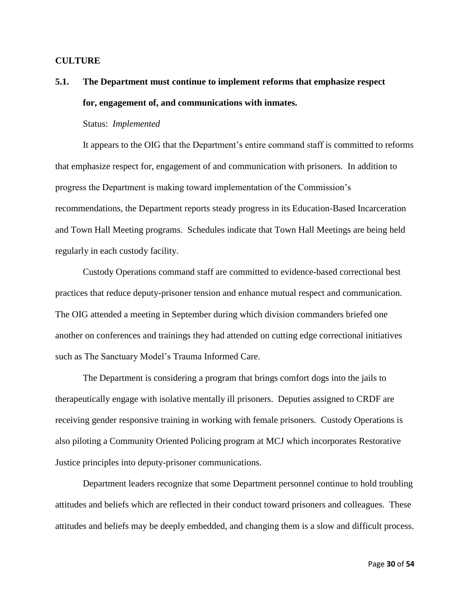#### **CULTURE**

# **5.1. The Department must continue to implement reforms that emphasize respect for, engagement of, and communications with inmates.**

#### Status: *Implemented*

It appears to the OIG that the Department's entire command staff is committed to reforms that emphasize respect for, engagement of and communication with prisoners. In addition to progress the Department is making toward implementation of the Commission's recommendations, the Department reports steady progress in its Education-Based Incarceration and Town Hall Meeting programs. Schedules indicate that Town Hall Meetings are being held regularly in each custody facility.

Custody Operations command staff are committed to evidence-based correctional best practices that reduce deputy-prisoner tension and enhance mutual respect and communication. The OIG attended a meeting in September during which division commanders briefed one another on conferences and trainings they had attended on cutting edge correctional initiatives such as The Sanctuary Model's Trauma Informed Care.

The Department is considering a program that brings comfort dogs into the jails to therapeutically engage with isolative mentally ill prisoners. Deputies assigned to CRDF are receiving gender responsive training in working with female prisoners. Custody Operations is also piloting a Community Oriented Policing program at MCJ which incorporates Restorative Justice principles into deputy-prisoner communications.

Department leaders recognize that some Department personnel continue to hold troubling attitudes and beliefs which are reflected in their conduct toward prisoners and colleagues. These attitudes and beliefs may be deeply embedded, and changing them is a slow and difficult process.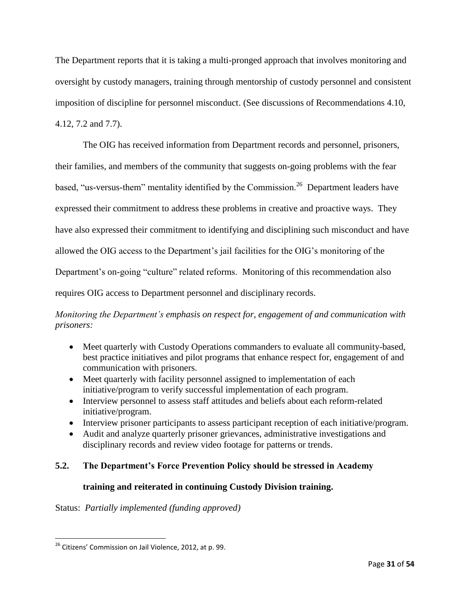The Department reports that it is taking a multi-pronged approach that involves monitoring and oversight by custody managers, training through mentorship of custody personnel and consistent imposition of discipline for personnel misconduct. (See discussions of Recommendations 4.10, 4.12, 7.2 and 7.7).

The OIG has received information from Department records and personnel, prisoners, their families, and members of the community that suggests on-going problems with the fear based, "us-versus-them" mentality identified by the Commission.<sup>26</sup> Department leaders have expressed their commitment to address these problems in creative and proactive ways. They have also expressed their commitment to identifying and disciplining such misconduct and have allowed the OIG access to the Department's jail facilities for the OIG's monitoring of the Department's on-going "culture" related reforms. Monitoring of this recommendation also requires OIG access to Department personnel and disciplinary records.

# *Monitoring the Department's emphasis on respect for, engagement of and communication with prisoners:*

- Meet quarterly with Custody Operations commanders to evaluate all community-based, best practice initiatives and pilot programs that enhance respect for, engagement of and communication with prisoners.
- Meet quarterly with facility personnel assigned to implementation of each initiative/program to verify successful implementation of each program.
- Interview personnel to assess staff attitudes and beliefs about each reform-related initiative/program.
- Interview prisoner participants to assess participant reception of each initiative/program.
- Audit and analyze quarterly prisoner grievances, administrative investigations and disciplinary records and review video footage for patterns or trends.

# **5.2. The Department's Force Prevention Policy should be stressed in Academy**

# **training and reiterated in continuing Custody Division training.**

Status: *Partially implemented (funding approved)*

 $\overline{\phantom{a}}$ <sup>26</sup> Citizens' Commission on Jail Violence, 2012, at p. 99.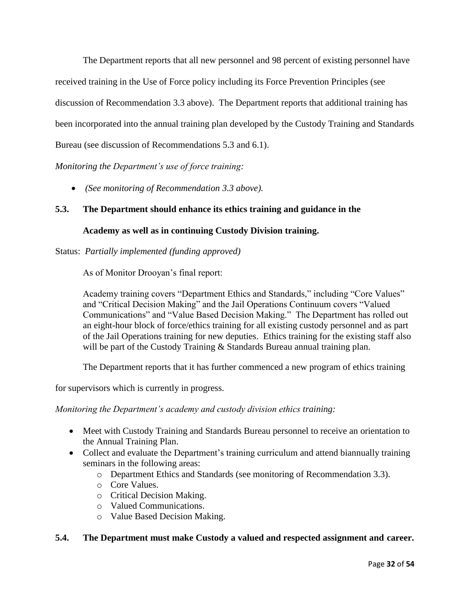The Department reports that all new personnel and 98 percent of existing personnel have received training in the Use of Force policy including its Force Prevention Principles (see discussion of Recommendation 3.3 above). The Department reports that additional training has been incorporated into the annual training plan developed by the Custody Training and Standards Bureau (see discussion of Recommendations 5.3 and 6.1).

*Monitoring the Department's use of force training:*

*(See monitoring of Recommendation 3.3 above).*

### **5.3. The Department should enhance its ethics training and guidance in the**

#### **Academy as well as in continuing Custody Division training.**

Status: *Partially implemented (funding approved)*

As of Monitor Drooyan's final report:

Academy training covers "Department Ethics and Standards," including "Core Values" and "Critical Decision Making" and the Jail Operations Continuum covers "Valued Communications" and "Value Based Decision Making." The Department has rolled out an eight-hour block of force/ethics training for all existing custody personnel and as part of the Jail Operations training for new deputies. Ethics training for the existing staff also will be part of the Custody Training & Standards Bureau annual training plan.

The Department reports that it has further commenced a new program of ethics training

for supervisors which is currently in progress.

*Monitoring the Department's academy and custody division ethics training:*

- Meet with Custody Training and Standards Bureau personnel to receive an orientation to the Annual Training Plan.
- Collect and evaluate the Department's training curriculum and attend biannually training seminars in the following areas:
	- o Department Ethics and Standards (see monitoring of Recommendation 3.3).
	- o Core Values.
	- o Critical Decision Making.
	- o Valued Communications.
	- o Value Based Decision Making.

### **5.4. The Department must make Custody a valued and respected assignment and career.**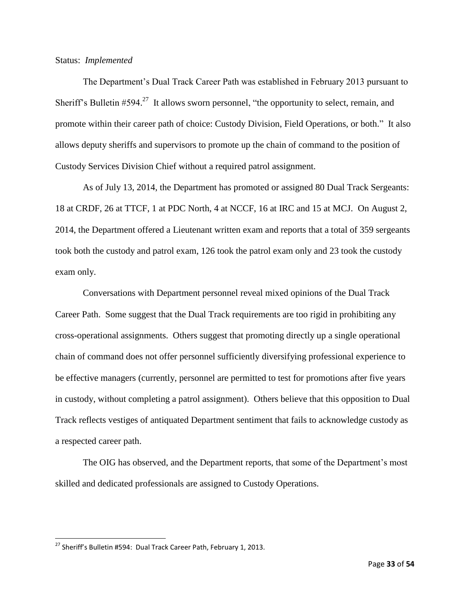Status: *Implemented*

The Department's Dual Track Career Path was established in February 2013 pursuant to Sheriff's Bulletin #594.<sup>27</sup> It allows sworn personnel, "the opportunity to select, remain, and promote within their career path of choice: Custody Division, Field Operations, or both." It also allows deputy sheriffs and supervisors to promote up the chain of command to the position of Custody Services Division Chief without a required patrol assignment.

As of July 13, 2014, the Department has promoted or assigned 80 Dual Track Sergeants: 18 at CRDF, 26 at TTCF, 1 at PDC North, 4 at NCCF, 16 at IRC and 15 at MCJ. On August 2, 2014, the Department offered a Lieutenant written exam and reports that a total of 359 sergeants took both the custody and patrol exam, 126 took the patrol exam only and 23 took the custody exam only.

Conversations with Department personnel reveal mixed opinions of the Dual Track Career Path. Some suggest that the Dual Track requirements are too rigid in prohibiting any cross-operational assignments. Others suggest that promoting directly up a single operational chain of command does not offer personnel sufficiently diversifying professional experience to be effective managers (currently, personnel are permitted to test for promotions after five years in custody, without completing a patrol assignment). Others believe that this opposition to Dual Track reflects vestiges of antiquated Department sentiment that fails to acknowledge custody as a respected career path.

The OIG has observed, and the Department reports, that some of the Department's most skilled and dedicated professionals are assigned to Custody Operations.

 $\overline{\phantom{a}}$ 

 $^{27}$  Sheriff's Bulletin #594: Dual Track Career Path, February 1, 2013.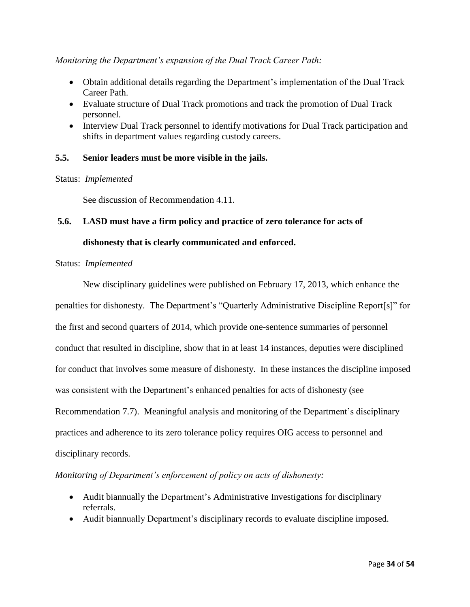#### *Monitoring the Department's expansion of the Dual Track Career Path:*

- Obtain additional details regarding the Department's implementation of the Dual Track Career Path.
- Evaluate structure of Dual Track promotions and track the promotion of Dual Track personnel.
- Interview Dual Track personnel to identify motivations for Dual Track participation and shifts in department values regarding custody careers.

#### **5.5. Senior leaders must be more visible in the jails.**

#### Status: *Implemented*

See discussion of Recommendation 4.11.

#### **5.6. LASD must have a firm policy and practice of zero tolerance for acts of**

#### **dishonesty that is clearly communicated and enforced.**

#### Status: *Implemented*

New disciplinary guidelines were published on February 17, 2013, which enhance the penalties for dishonesty. The Department's "Quarterly Administrative Discipline Report[s]" for the first and second quarters of 2014, which provide one-sentence summaries of personnel conduct that resulted in discipline, show that in at least 14 instances, deputies were disciplined for conduct that involves some measure of dishonesty. In these instances the discipline imposed was consistent with the Department's enhanced penalties for acts of dishonesty (see Recommendation 7.7). Meaningful analysis and monitoring of the Department's disciplinary practices and adherence to its zero tolerance policy requires OIG access to personnel and disciplinary records.

#### *Monitoring of Department's enforcement of policy on acts of dishonesty:*

- Audit biannually the Department's Administrative Investigations for disciplinary referrals.
- Audit biannually Department's disciplinary records to evaluate discipline imposed.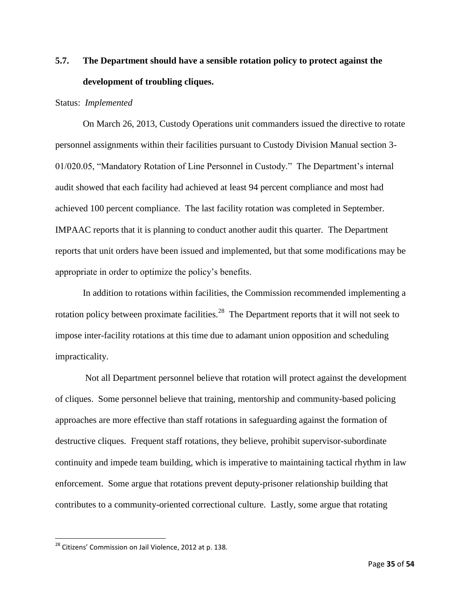# **5.7. The Department should have a sensible rotation policy to protect against the development of troubling cliques.**

#### Status: *Implemented*

On March 26, 2013, Custody Operations unit commanders issued the directive to rotate personnel assignments within their facilities pursuant to Custody Division Manual section 3- 01/020.05, "Mandatory Rotation of Line Personnel in Custody." The Department's internal audit showed that each facility had achieved at least 94 percent compliance and most had achieved 100 percent compliance. The last facility rotation was completed in September. IMPAAC reports that it is planning to conduct another audit this quarter. The Department reports that unit orders have been issued and implemented, but that some modifications may be appropriate in order to optimize the policy's benefits.

In addition to rotations within facilities, the Commission recommended implementing a rotation policy between proximate facilities.<sup>28</sup> The Department reports that it will not seek to impose inter-facility rotations at this time due to adamant union opposition and scheduling impracticality.

Not all Department personnel believe that rotation will protect against the development of cliques. Some personnel believe that training, mentorship and community-based policing approaches are more effective than staff rotations in safeguarding against the formation of destructive cliques. Frequent staff rotations, they believe, prohibit supervisor-subordinate continuity and impede team building, which is imperative to maintaining tactical rhythm in law enforcement. Some argue that rotations prevent deputy-prisoner relationship building that contributes to a community-oriented correctional culture. Lastly, some argue that rotating

 $\overline{\phantom{a}}$ 

 $^{28}$  Citizens' Commission on Jail Violence, 2012 at p. 138.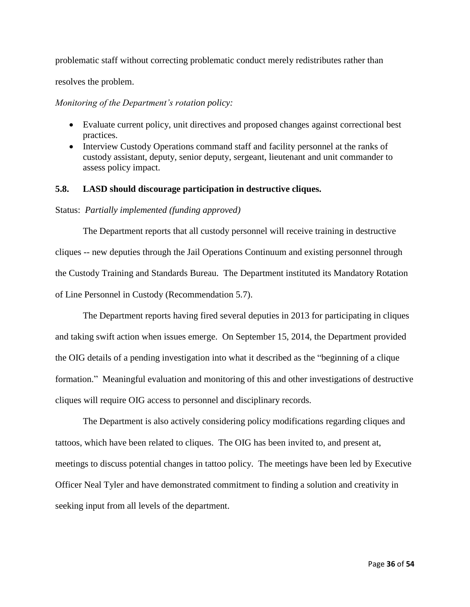problematic staff without correcting problematic conduct merely redistributes rather than

resolves the problem.

*Monitoring of the Department's rotation policy:*

- Evaluate current policy, unit directives and proposed changes against correctional best practices.
- Interview Custody Operations command staff and facility personnel at the ranks of custody assistant, deputy, senior deputy, sergeant, lieutenant and unit commander to assess policy impact.

#### **5.8. LASD should discourage participation in destructive cliques.**

#### Status: *Partially implemented (funding approved)*

The Department reports that all custody personnel will receive training in destructive cliques -- new deputies through the Jail Operations Continuum and existing personnel through the Custody Training and Standards Bureau. The Department instituted its Mandatory Rotation of Line Personnel in Custody (Recommendation 5.7).

The Department reports having fired several deputies in 2013 for participating in cliques and taking swift action when issues emerge. On September 15, 2014, the Department provided the OIG details of a pending investigation into what it described as the "beginning of a clique formation." Meaningful evaluation and monitoring of this and other investigations of destructive cliques will require OIG access to personnel and disciplinary records.

The Department is also actively considering policy modifications regarding cliques and tattoos, which have been related to cliques. The OIG has been invited to, and present at, meetings to discuss potential changes in tattoo policy. The meetings have been led by Executive Officer Neal Tyler and have demonstrated commitment to finding a solution and creativity in seeking input from all levels of the department.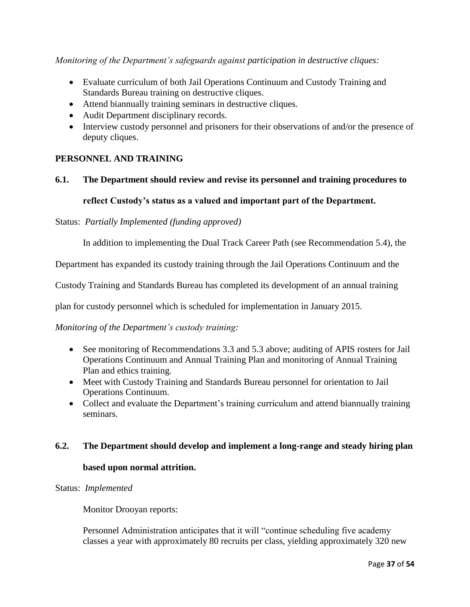*Monitoring of the Department's safeguards against participation in destructive cliques:*

- Evaluate curriculum of both Jail Operations Continuum and Custody Training and Standards Bureau training on destructive cliques.
- Attend biannually training seminars in destructive cliques.
- Audit Department disciplinary records.
- Interview custody personnel and prisoners for their observations of and/or the presence of deputy cliques.

# **PERSONNEL AND TRAINING**

### **6.1. The Department should review and revise its personnel and training procedures to**

### **reflect Custody's status as a valued and important part of the Department.**

#### Status: *Partially Implemented (funding approved)*

In addition to implementing the Dual Track Career Path (see Recommendation 5.4), the

Department has expanded its custody training through the Jail Operations Continuum and the

Custody Training and Standards Bureau has completed its development of an annual training

plan for custody personnel which is scheduled for implementation in January 2015.

*Monitoring of the Department's custody training:*

- See monitoring of Recommendations 3.3 and 5.3 above; auditing of APIS rosters for Jail Operations Continuum and Annual Training Plan and monitoring of Annual Training Plan and ethics training.
- Meet with Custody Training and Standards Bureau personnel for orientation to Jail Operations Continuum.
- Collect and evaluate the Department's training curriculum and attend biannually training seminars.

#### **6.2. The Department should develop and implement a long-range and steady hiring plan**

#### **based upon normal attrition.**

#### Status: *Implemented*

Monitor Drooyan reports:

Personnel Administration anticipates that it will "continue scheduling five academy classes a year with approximately 80 recruits per class, yielding approximately 320 new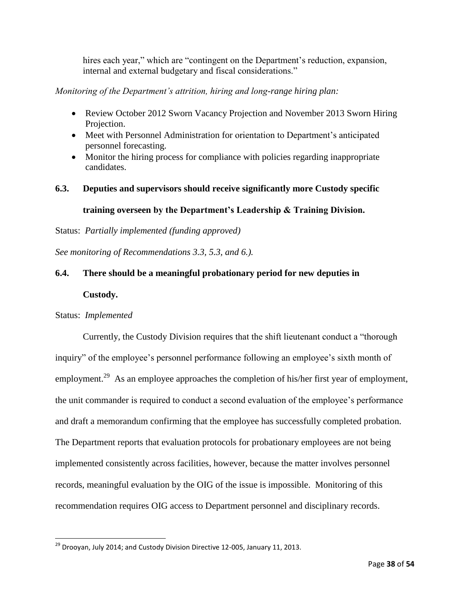hires each year," which are "contingent on the Department's reduction, expansion, internal and external budgetary and fiscal considerations."

*Monitoring of the Department's attrition, hiring and long-range hiring plan:*

- Review October 2012 Sworn Vacancy Projection and November 2013 Sworn Hiring Projection.
- Meet with Personnel Administration for orientation to Department's anticipated personnel forecasting.
- Monitor the hiring process for compliance with policies regarding inappropriate candidates.
- **6.3. Deputies and supervisors should receive significantly more Custody specific training overseen by the Department's Leadership & Training Division.**

Status: *Partially implemented (funding approved)*

*See monitoring of Recommendations 3.3, 5.3, and 6.).*

# **6.4. There should be a meaningful probationary period for new deputies in**

#### **Custody.**

#### Status: *Implemented*

 $\overline{\phantom{a}}$ 

Currently, the Custody Division requires that the shift lieutenant conduct a "thorough inquiry" of the employee's personnel performance following an employee's sixth month of employment.<sup>29</sup> As an employee approaches the completion of his/her first year of employment, the unit commander is required to conduct a second evaluation of the employee's performance and draft a memorandum confirming that the employee has successfully completed probation. The Department reports that evaluation protocols for probationary employees are not being implemented consistently across facilities, however, because the matter involves personnel records, meaningful evaluation by the OIG of the issue is impossible. Monitoring of this recommendation requires OIG access to Department personnel and disciplinary records.

 $^{29}$  Droovan, July 2014; and Custody Division Directive 12-005, January 11, 2013.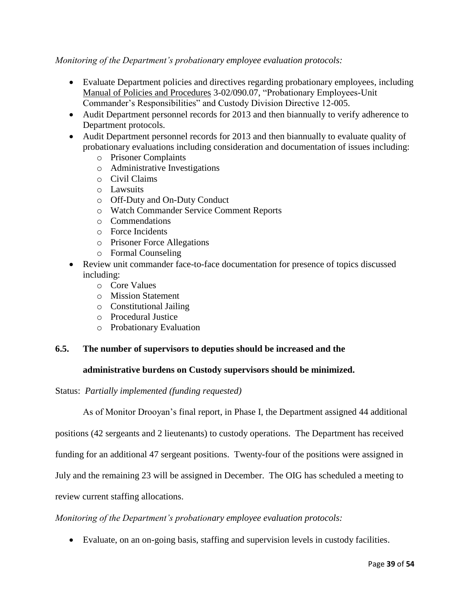*Monitoring of the Department's probationary employee evaluation protocols:*

- Evaluate Department policies and directives regarding probationary employees, including Manual of Policies and Procedures 3-02/090.07, "Probationary Employees-Unit Commander's Responsibilities" and Custody Division Directive 12-005.
- Audit Department personnel records for 2013 and then biannually to verify adherence to Department protocols.
- Audit Department personnel records for 2013 and then biannually to evaluate quality of probationary evaluations including consideration and documentation of issues including:
	- o Prisoner Complaints
	- o Administrative Investigations
	- o Civil Claims
	- o Lawsuits
	- o Off-Duty and On-Duty Conduct
	- o Watch Commander Service Comment Reports
	- o Commendations
	- o Force Incidents
	- o Prisoner Force Allegations
	- o Formal Counseling
- Review unit commander face-to-face documentation for presence of topics discussed including:
	- o Core Values
	- o Mission Statement
	- o Constitutional Jailing
	- o Procedural Justice
	- o Probationary Evaluation

#### **6.5. The number of supervisors to deputies should be increased and the**

#### **administrative burdens on Custody supervisors should be minimized.**

Status: *Partially implemented (funding requested)*

As of Monitor Drooyan's final report, in Phase I, the Department assigned 44 additional

positions (42 sergeants and 2 lieutenants) to custody operations. The Department has received

funding for an additional 47 sergeant positions. Twenty-four of the positions were assigned in

July and the remaining 23 will be assigned in December. The OIG has scheduled a meeting to

review current staffing allocations.

#### *Monitoring of the Department's probationary employee evaluation protocols:*

Evaluate, on an on-going basis, staffing and supervision levels in custody facilities.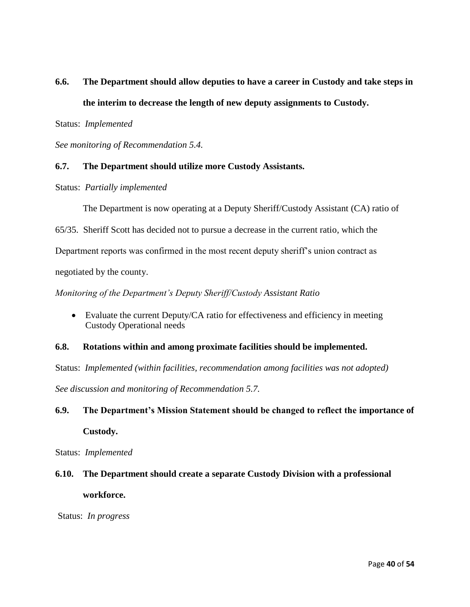# **6.6. The Department should allow deputies to have a career in Custody and take steps in the interim to decrease the length of new deputy assignments to Custody.**

Status: *Implemented* 

*See monitoring of Recommendation 5.4.*

#### **6.7. The Department should utilize more Custody Assistants.**

Status: *Partially implemented*

The Department is now operating at a Deputy Sheriff/Custody Assistant (CA) ratio of

65/35. Sheriff Scott has decided not to pursue a decrease in the current ratio, which the

Department reports was confirmed in the most recent deputy sheriff's union contract as

negotiated by the county.

*Monitoring of the Department's Deputy Sheriff/Custody Assistant Ratio*

• Evaluate the current Deputy/CA ratio for effectiveness and efficiency in meeting Custody Operational needs

#### **6.8. Rotations within and among proximate facilities should be implemented.**

Status: *Implemented (within facilities, recommendation among facilities was not adopted)*

*See discussion and monitoring of Recommendation 5.7.* 

# **6.9. The Department's Mission Statement should be changed to reflect the importance of**

**Custody.**

Status: *Implemented* 

# **6.10. The Department should create a separate Custody Division with a professional**

**workforce.**

Status: *In progress*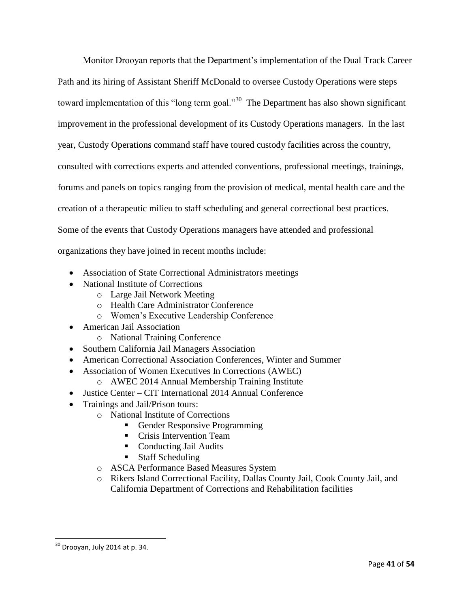Monitor Drooyan reports that the Department's implementation of the Dual Track Career Path and its hiring of Assistant Sheriff McDonald to oversee Custody Operations were steps toward implementation of this "long term goal."<sup>30</sup> The Department has also shown significant improvement in the professional development of its Custody Operations managers. In the last year, Custody Operations command staff have toured custody facilities across the country, consulted with corrections experts and attended conventions, professional meetings, trainings, forums and panels on topics ranging from the provision of medical, mental health care and the creation of a therapeutic milieu to staff scheduling and general correctional best practices. Some of the events that Custody Operations managers have attended and professional organizations they have joined in recent months include:

- Association of State Correctional Administrators meetings
- National Institute of Corrections
	- o Large Jail Network Meeting
	- o Health Care Administrator Conference
	- o Women's Executive Leadership Conference
- American Jail Association
	- o National Training Conference
- Southern California Jail Managers Association
- American Correctional Association Conferences, Winter and Summer
- Association of Women Executives In Corrections (AWEC)
	- o AWEC 2014 Annual Membership Training Institute
- Justice Center CIT International 2014 Annual Conference
- Trainings and Jail/Prison tours:
	- o National Institute of Corrections
		- Gender Responsive Programming
		- **Crisis Intervention Team**
		- Conducting Jail Audits
		- Staff Scheduling
		- o ASCA Performance Based Measures System
	- o Rikers Island Correctional Facility, Dallas County Jail, Cook County Jail, and California Department of Corrections and Rehabilitation facilities

 $\overline{\phantom{a}}$ 

 $30$  Drooyan, July 2014 at p. 34.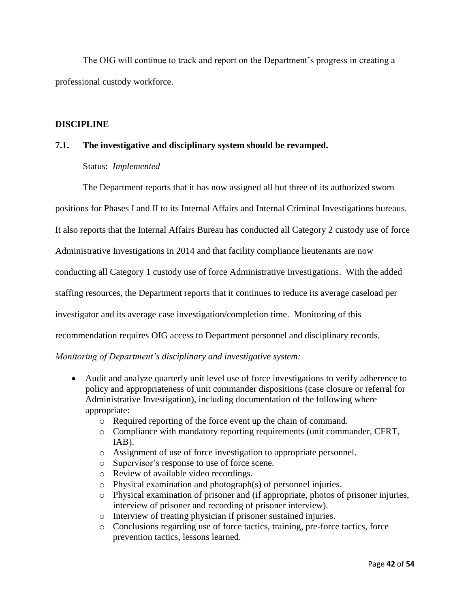The OIG will continue to track and report on the Department's progress in creating a professional custody workforce.

#### **DISCIPLINE**

### **7.1. The investigative and disciplinary system should be revamped.**

#### Status: *Implemented*

The Department reports that it has now assigned all but three of its authorized sworn

positions for Phases I and II to its Internal Affairs and Internal Criminal Investigations bureaus.

It also reports that the Internal Affairs Bureau has conducted all Category 2 custody use of force

Administrative Investigations in 2014 and that facility compliance lieutenants are now

conducting all Category 1 custody use of force Administrative Investigations. With the added

staffing resources, the Department reports that it continues to reduce its average caseload per

investigator and its average case investigation/completion time. Monitoring of this

recommendation requires OIG access to Department personnel and disciplinary records.

#### *Monitoring of Department's disciplinary and investigative system:*

- Audit and analyze quarterly unit level use of force investigations to verify adherence to policy and appropriateness of unit commander dispositions (case closure or referral for Administrative Investigation), including documentation of the following where appropriate:
	- o Required reporting of the force event up the chain of command.
	- o Compliance with mandatory reporting requirements (unit commander, CFRT, IAB).
	- o Assignment of use of force investigation to appropriate personnel.
	- o Supervisor's response to use of force scene.
	- o Review of available video recordings.
	- o Physical examination and photograph(s) of personnel injuries.
	- o Physical examination of prisoner and (if appropriate, photos of prisoner injuries, interview of prisoner and recording of prisoner interview).
	- o Interview of treating physician if prisoner sustained injuries.
	- o Conclusions regarding use of force tactics, training, pre-force tactics, force prevention tactics, lessons learned.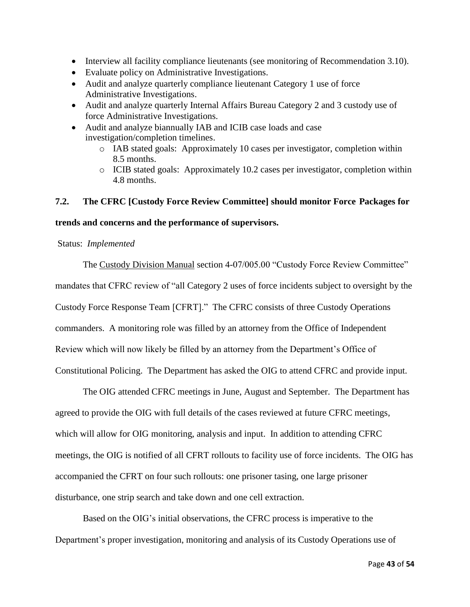- Interview all facility compliance lieutenants (see monitoring of Recommendation 3.10).
- Evaluate policy on Administrative Investigations.
- Audit and analyze quarterly compliance lieutenant Category 1 use of force Administrative Investigations.
- Audit and analyze quarterly Internal Affairs Bureau Category 2 and 3 custody use of force Administrative Investigations.
- Audit and analyze biannually IAB and ICIB case loads and case investigation/completion timelines.
	- o IAB stated goals: Approximately 10 cases per investigator, completion within 8.5 months.
	- o ICIB stated goals: Approximately 10.2 cases per investigator, completion within 4.8 months.

#### **7.2. The CFRC [Custody Force Review Committee] should monitor Force Packages for**

#### **trends and concerns and the performance of supervisors.**

#### Status: *Implemented*

The Custody Division Manual section 4-07/005.00 "Custody Force Review Committee" mandates that CFRC review of "all Category 2 uses of force incidents subject to oversight by the Custody Force Response Team [CFRT]." The CFRC consists of three Custody Operations commanders. A monitoring role was filled by an attorney from the Office of Independent Review which will now likely be filled by an attorney from the Department's Office of Constitutional Policing. The Department has asked the OIG to attend CFRC and provide input.

The OIG attended CFRC meetings in June, August and September. The Department has agreed to provide the OIG with full details of the cases reviewed at future CFRC meetings, which will allow for OIG monitoring, analysis and input. In addition to attending CFRC meetings, the OIG is notified of all CFRT rollouts to facility use of force incidents. The OIG has accompanied the CFRT on four such rollouts: one prisoner tasing, one large prisoner disturbance, one strip search and take down and one cell extraction.

Based on the OIG's initial observations, the CFRC process is imperative to the Department's proper investigation, monitoring and analysis of its Custody Operations use of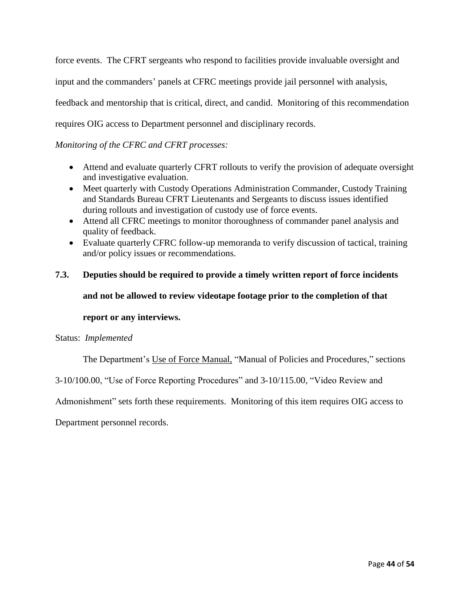force events. The CFRT sergeants who respond to facilities provide invaluable oversight and input and the commanders' panels at CFRC meetings provide jail personnel with analysis, feedback and mentorship that is critical, direct, and candid. Monitoring of this recommendation requires OIG access to Department personnel and disciplinary records.

### *Monitoring of the CFRC and CFRT processes:*

- Attend and evaluate quarterly CFRT rollouts to verify the provision of adequate oversight and investigative evaluation.
- Meet quarterly with Custody Operations Administration Commander, Custody Training and Standards Bureau CFRT Lieutenants and Sergeants to discuss issues identified during rollouts and investigation of custody use of force events.
- Attend all CFRC meetings to monitor thoroughness of commander panel analysis and quality of feedback.
- Evaluate quarterly CFRC follow-up memoranda to verify discussion of tactical, training and/or policy issues or recommendations.

# **7.3. Deputies should be required to provide a timely written report of force incidents and not be allowed to review videotape footage prior to the completion of that**

#### **report or any interviews.**

#### Status:*Implemented*

The Department's Use of Force Manual, "Manual of Policies and Procedures," sections

3-10/100.00, "Use of Force Reporting Procedures" and 3-10/115.00, "Video Review and

Admonishment" sets forth these requirements. Monitoring of this item requires OIG access to

Department personnel records.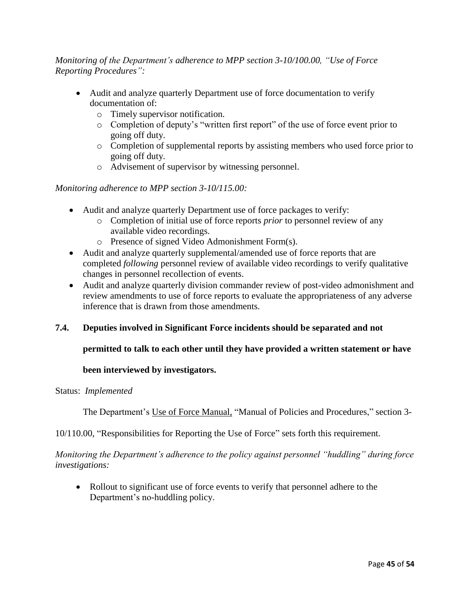# *Monitoring of the Department's adherence to MPP section 3-10/100.00, "Use of Force Reporting Procedures":*

- Audit and analyze quarterly Department use of force documentation to verify documentation of:
	- o Timely supervisor notification.
	- o Completion of deputy's "written first report" of the use of force event prior to going off duty.
	- o Completion of supplemental reports by assisting members who used force prior to going off duty.
	- o Advisement of supervisor by witnessing personnel.

### *Monitoring adherence to MPP section 3-10/115.00:*

- Audit and analyze quarterly Department use of force packages to verify:
	- o Completion of initial use of force reports *prior* to personnel review of any available video recordings.
	- o Presence of signed Video Admonishment Form(s).
- Audit and analyze quarterly supplemental/amended use of force reports that are completed *following* personnel review of available video recordings to verify qualitative changes in personnel recollection of events.
- Audit and analyze quarterly division commander review of post-video admonishment and review amendments to use of force reports to evaluate the appropriateness of any adverse inference that is drawn from those amendments.

#### **7.4. Deputies involved in Significant Force incidents should be separated and not**

#### **permitted to talk to each other until they have provided a written statement or have**

#### **been interviewed by investigators.**

#### Status: *Implemented*

The Department's Use of Force Manual, "Manual of Policies and Procedures," section 3-

#### 10/110.00, "Responsibilities for Reporting the Use of Force" sets forth this requirement.

*Monitoring the Department's adherence to the policy against personnel "huddling" during force investigations:*

• Rollout to significant use of force events to verify that personnel adhere to the Department's no-huddling policy.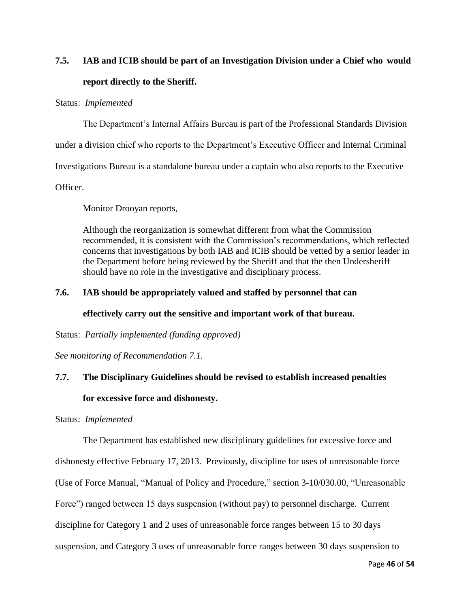# **7.5. IAB and ICIB should be part of an Investigation Division under a Chief who would report directly to the Sheriff.**

#### Status: *Implemented*

The Department's Internal Affairs Bureau is part of the Professional Standards Division

under a division chief who reports to the Department's Executive Officer and Internal Criminal

Investigations Bureau is a standalone bureau under a captain who also reports to the Executive

Officer.

Monitor Drooyan reports,

Although the reorganization is somewhat different from what the Commission recommended, it is consistent with the Commission's recommendations, which reflected concerns that investigations by both IAB and ICIB should be vetted by a senior leader in the Department before being reviewed by the Sheriff and that the then Undersheriff should have no role in the investigative and disciplinary process.

#### **7.6. IAB should be appropriately valued and staffed by personnel that can**

#### **effectively carry out the sensitive and important work of that bureau.**

Status: *Partially implemented (funding approved)*

*See monitoring of Recommendation 7.1.*

### **7.7. The Disciplinary Guidelines should be revised to establish increased penalties**

#### **for excessive force and dishonesty.**

Status:*Implemented*

The Department has established new disciplinary guidelines for excessive force and

dishonesty effective February 17, 2013. Previously, discipline for uses of unreasonable force

(Use of Force Manual, "Manual of Policy and Procedure," section 3-10/030.00, "Unreasonable

Force") ranged between 15 days suspension (without pay) to personnel discharge. Current

discipline for Category 1 and 2 uses of unreasonable force ranges between 15 to 30 days

suspension, and Category 3 uses of unreasonable force ranges between 30 days suspension to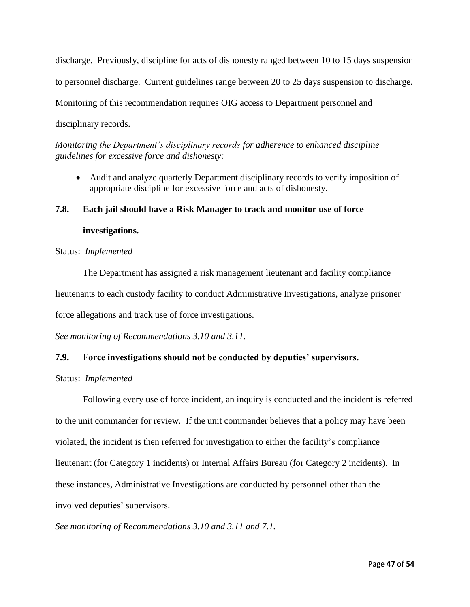discharge. Previously, discipline for acts of dishonesty ranged between 10 to 15 days suspension to personnel discharge. Current guidelines range between 20 to 25 days suspension to discharge. Monitoring of this recommendation requires OIG access to Department personnel and disciplinary records.

*Monitoring the Department's disciplinary records for adherence to enhanced discipline guidelines for excessive force and dishonesty:*

 Audit and analyze quarterly Department disciplinary records to verify imposition of appropriate discipline for excessive force and acts of dishonesty.

# **7.8. Each jail should have a Risk Manager to track and monitor use of force investigations.**

Status: *Implemented*

The Department has assigned a risk management lieutenant and facility compliance lieutenants to each custody facility to conduct Administrative Investigations, analyze prisoner force allegations and track use of force investigations.

*See monitoring of Recommendations 3.10 and 3.11.*

#### **7.9. Force investigations should not be conducted by deputies' supervisors.**

Status: *Implemented*

Following every use of force incident, an inquiry is conducted and the incident is referred to the unit commander for review. If the unit commander believes that a policy may have been violated, the incident is then referred for investigation to either the facility's compliance lieutenant (for Category 1 incidents) or Internal Affairs Bureau (for Category 2 incidents). In these instances, Administrative Investigations are conducted by personnel other than the involved deputies' supervisors.

*See monitoring of Recommendations 3.10 and 3.11 and 7.1.*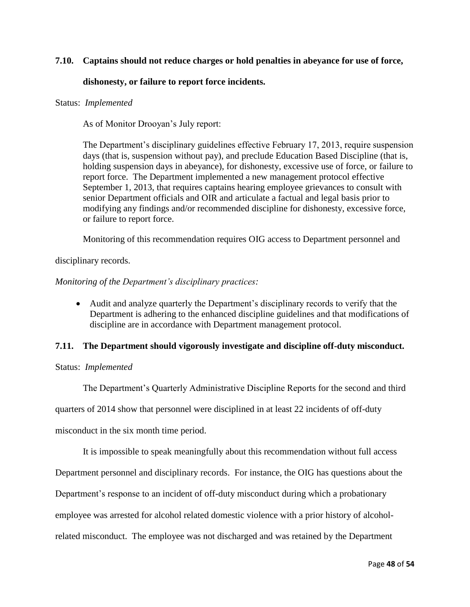#### **7.10. Captains should not reduce charges or hold penalties in abeyance for use of force,**

#### **dishonesty, or failure to report force incidents.**

#### Status:*Implemented*

As of Monitor Drooyan's July report:

The Department's disciplinary guidelines effective February 17, 2013, require suspension days (that is, suspension without pay), and preclude Education Based Discipline (that is, holding suspension days in abeyance), for dishonesty, excessive use of force, or failure to report force. The Department implemented a new management protocol effective September 1, 2013, that requires captains hearing employee grievances to consult with senior Department officials and OIR and articulate a factual and legal basis prior to modifying any findings and/or recommended discipline for dishonesty, excessive force, or failure to report force.

Monitoring of this recommendation requires OIG access to Department personnel and

disciplinary records.

#### *Monitoring of the Department's disciplinary practices:*

 Audit and analyze quarterly the Department's disciplinary records to verify that the Department is adhering to the enhanced discipline guidelines and that modifications of discipline are in accordance with Department management protocol.

#### **7.11. The Department should vigorously investigate and discipline off-duty misconduct.**

#### Status: *Implemented*

The Department's Quarterly Administrative Discipline Reports for the second and third

quarters of 2014 show that personnel were disciplined in at least 22 incidents of off-duty

misconduct in the six month time period.

It is impossible to speak meaningfully about this recommendation without full access

Department personnel and disciplinary records. For instance, the OIG has questions about the

Department's response to an incident of off-duty misconduct during which a probationary

employee was arrested for alcohol related domestic violence with a prior history of alcohol-

related misconduct. The employee was not discharged and was retained by the Department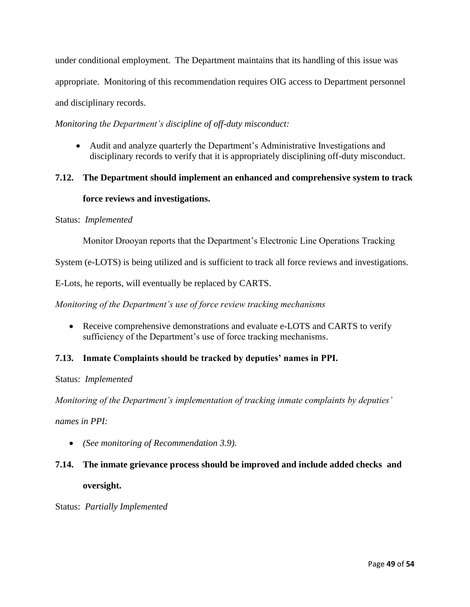under conditional employment. The Department maintains that its handling of this issue was appropriate. Monitoring of this recommendation requires OIG access to Department personnel and disciplinary records.

*Monitoring the Department's discipline of off-duty misconduct:*

 Audit and analyze quarterly the Department's Administrative Investigations and disciplinary records to verify that it is appropriately disciplining off-duty misconduct.

# **7.12. The Department should implement an enhanced and comprehensive system to track**

### **force reviews and investigations.**

#### Status: *Implemented*

Monitor Drooyan reports that the Department's Electronic Line Operations Tracking

System (e-LOTS) is being utilized and is sufficient to track all force reviews and investigations.

E-Lots, he reports, will eventually be replaced by CARTS.

*Monitoring of the Department's use of force review tracking mechanisms*

• Receive comprehensive demonstrations and evaluate e-LOTS and CARTS to verify sufficiency of the Department's use of force tracking mechanisms.

# **7.13. Inmate Complaints should be tracked by deputies' names in PPI.**

Status: *Implemented*

*Monitoring of the Department's implementation of tracking inmate complaints by deputies'*

*names in PPI:*

*(See monitoring of Recommendation 3.9).*

# **7.14. The inmate grievance process should be improved and include added checks and oversight.**

Status: *Partially Implemented*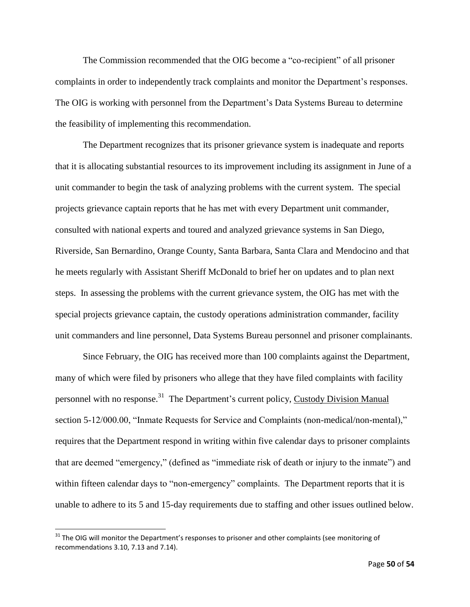The Commission recommended that the OIG become a "co-recipient" of all prisoner complaints in order to independently track complaints and monitor the Department's responses. The OIG is working with personnel from the Department's Data Systems Bureau to determine the feasibility of implementing this recommendation.

The Department recognizes that its prisoner grievance system is inadequate and reports that it is allocating substantial resources to its improvement including its assignment in June of a unit commander to begin the task of analyzing problems with the current system. The special projects grievance captain reports that he has met with every Department unit commander, consulted with national experts and toured and analyzed grievance systems in San Diego, Riverside, San Bernardino, Orange County, Santa Barbara, Santa Clara and Mendocino and that he meets regularly with Assistant Sheriff McDonald to brief her on updates and to plan next steps. In assessing the problems with the current grievance system, the OIG has met with the special projects grievance captain, the custody operations administration commander, facility unit commanders and line personnel, Data Systems Bureau personnel and prisoner complainants.

Since February, the OIG has received more than 100 complaints against the Department, many of which were filed by prisoners who allege that they have filed complaints with facility personnel with no response.<sup>31</sup> The Department's current policy, Custody Division Manual section 5-12/000.00, "Inmate Requests for Service and Complaints (non-medical/non-mental)," requires that the Department respond in writing within five calendar days to prisoner complaints that are deemed "emergency," (defined as "immediate risk of death or injury to the inmate") and within fifteen calendar days to "non-emergency" complaints. The Department reports that it is unable to adhere to its 5 and 15-day requirements due to staffing and other issues outlined below.

 $31$  The OIG will monitor the Department's responses to prisoner and other complaints (see monitoring of recommendations 3.10, 7.13 and 7.14).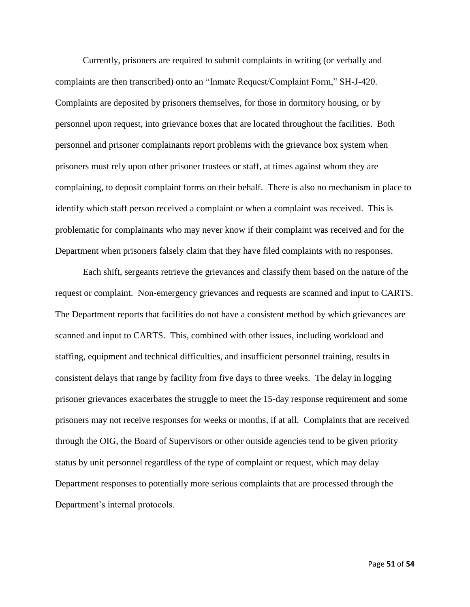Currently, prisoners are required to submit complaints in writing (or verbally and complaints are then transcribed) onto an "Inmate Request/Complaint Form," SH-J-420. Complaints are deposited by prisoners themselves, for those in dormitory housing, or by personnel upon request, into grievance boxes that are located throughout the facilities. Both personnel and prisoner complainants report problems with the grievance box system when prisoners must rely upon other prisoner trustees or staff, at times against whom they are complaining, to deposit complaint forms on their behalf. There is also no mechanism in place to identify which staff person received a complaint or when a complaint was received. This is problematic for complainants who may never know if their complaint was received and for the Department when prisoners falsely claim that they have filed complaints with no responses.

Each shift, sergeants retrieve the grievances and classify them based on the nature of the request or complaint. Non-emergency grievances and requests are scanned and input to CARTS. The Department reports that facilities do not have a consistent method by which grievances are scanned and input to CARTS. This, combined with other issues, including workload and staffing, equipment and technical difficulties, and insufficient personnel training, results in consistent delays that range by facility from five days to three weeks. The delay in logging prisoner grievances exacerbates the struggle to meet the 15-day response requirement and some prisoners may not receive responses for weeks or months, if at all. Complaints that are received through the OIG, the Board of Supervisors or other outside agencies tend to be given priority status by unit personnel regardless of the type of complaint or request, which may delay Department responses to potentially more serious complaints that are processed through the Department's internal protocols.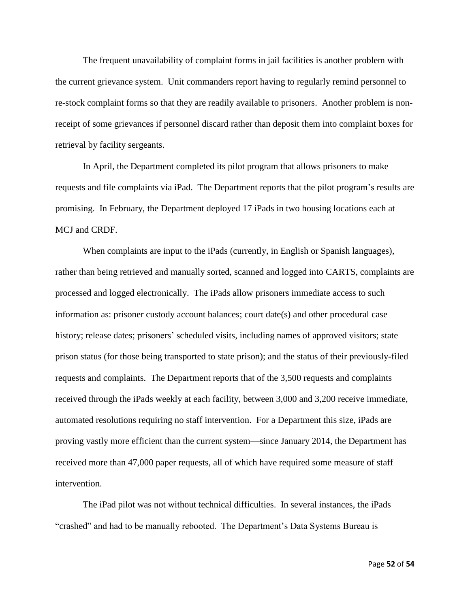The frequent unavailability of complaint forms in jail facilities is another problem with the current grievance system. Unit commanders report having to regularly remind personnel to re-stock complaint forms so that they are readily available to prisoners. Another problem is nonreceipt of some grievances if personnel discard rather than deposit them into complaint boxes for retrieval by facility sergeants.

In April, the Department completed its pilot program that allows prisoners to make requests and file complaints via iPad. The Department reports that the pilot program's results are promising. In February, the Department deployed 17 iPads in two housing locations each at MCJ and CRDF.

When complaints are input to the iPads (currently, in English or Spanish languages), rather than being retrieved and manually sorted, scanned and logged into CARTS, complaints are processed and logged electronically. The iPads allow prisoners immediate access to such information as: prisoner custody account balances; court date(s) and other procedural case history; release dates; prisoners' scheduled visits, including names of approved visitors; state prison status (for those being transported to state prison); and the status of their previously-filed requests and complaints. The Department reports that of the 3,500 requests and complaints received through the iPads weekly at each facility, between 3,000 and 3,200 receive immediate, automated resolutions requiring no staff intervention. For a Department this size, iPads are proving vastly more efficient than the current system—since January 2014, the Department has received more than 47,000 paper requests, all of which have required some measure of staff intervention.

The iPad pilot was not without technical difficulties. In several instances, the iPads "crashed" and had to be manually rebooted. The Department's Data Systems Bureau is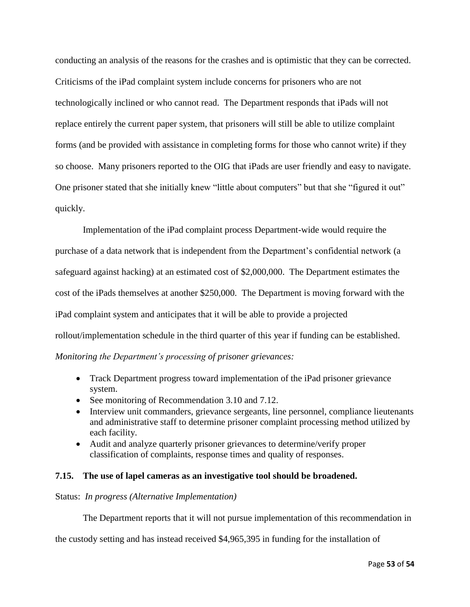conducting an analysis of the reasons for the crashes and is optimistic that they can be corrected. Criticisms of the iPad complaint system include concerns for prisoners who are not technologically inclined or who cannot read. The Department responds that iPads will not replace entirely the current paper system, that prisoners will still be able to utilize complaint forms (and be provided with assistance in completing forms for those who cannot write) if they so choose. Many prisoners reported to the OIG that iPads are user friendly and easy to navigate. One prisoner stated that she initially knew "little about computers" but that she "figured it out" quickly.

Implementation of the iPad complaint process Department-wide would require the purchase of a data network that is independent from the Department's confidential network (a safeguard against hacking) at an estimated cost of \$2,000,000. The Department estimates the cost of the iPads themselves at another \$250,000. The Department is moving forward with the iPad complaint system and anticipates that it will be able to provide a projected rollout/implementation schedule in the third quarter of this year if funding can be established. *Monitoring the Department's processing of prisoner grievances:*

- Track Department progress toward implementation of the iPad prisoner grievance system.
- See monitoring of Recommendation 3.10 and 7.12.
- Interview unit commanders, grievance sergeants, line personnel, compliance lieutenants and administrative staff to determine prisoner complaint processing method utilized by each facility.
- Audit and analyze quarterly prisoner grievances to determine/verify proper classification of complaints, response times and quality of responses.

#### **7.15. The use of lapel cameras as an investigative tool should be broadened.**

#### Status: *In progress (Alternative Implementation)*

The Department reports that it will not pursue implementation of this recommendation in

the custody setting and has instead received \$4,965,395 in funding for the installation of